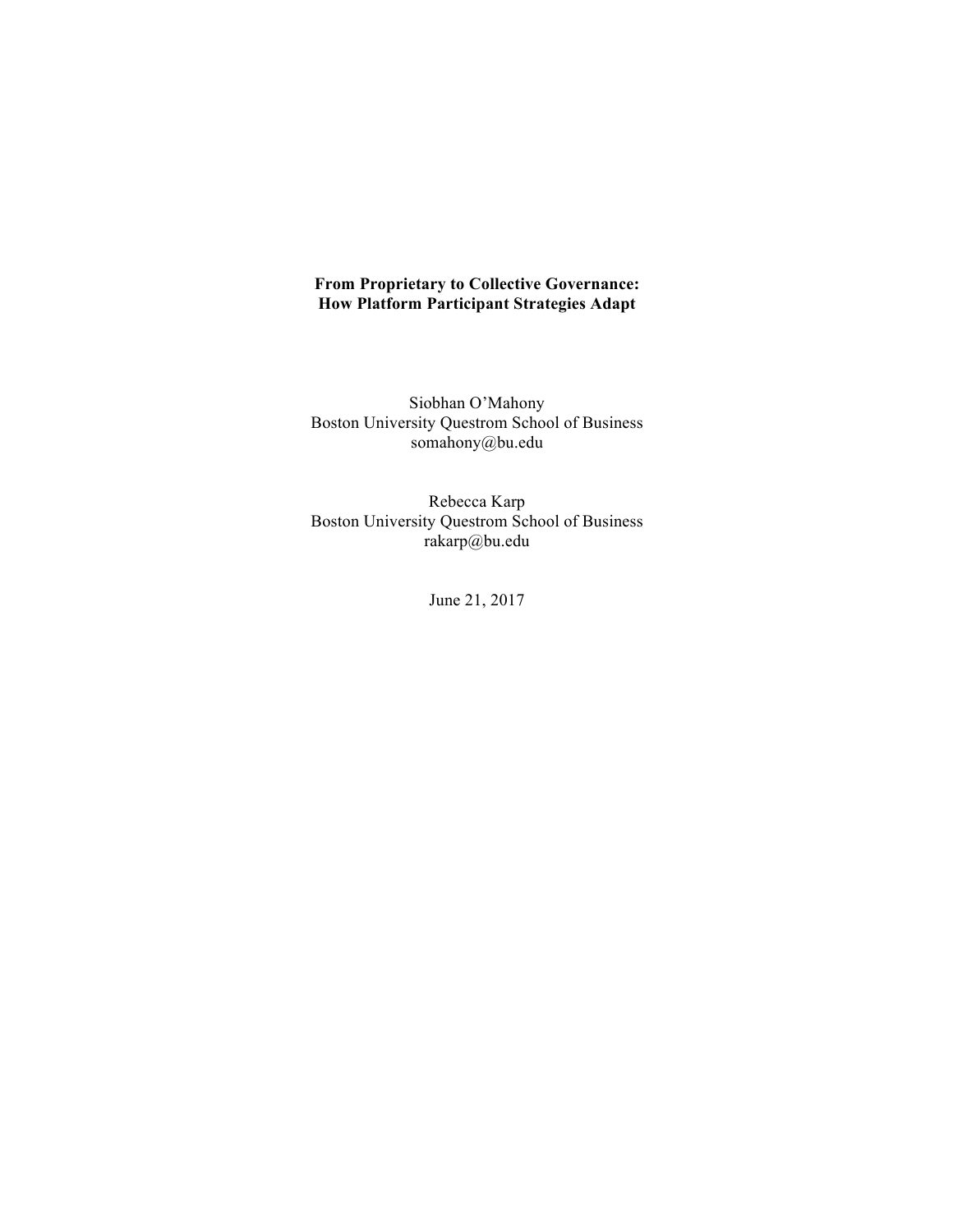# **From Proprietary to Collective Governance: How Platform Participant Strategies Adapt**

Siobhan O'Mahony Boston University Questrom School of Business somahony@bu.edu

Rebecca Karp Boston University Questrom School of Business rakarp@bu.edu

June 21, 2017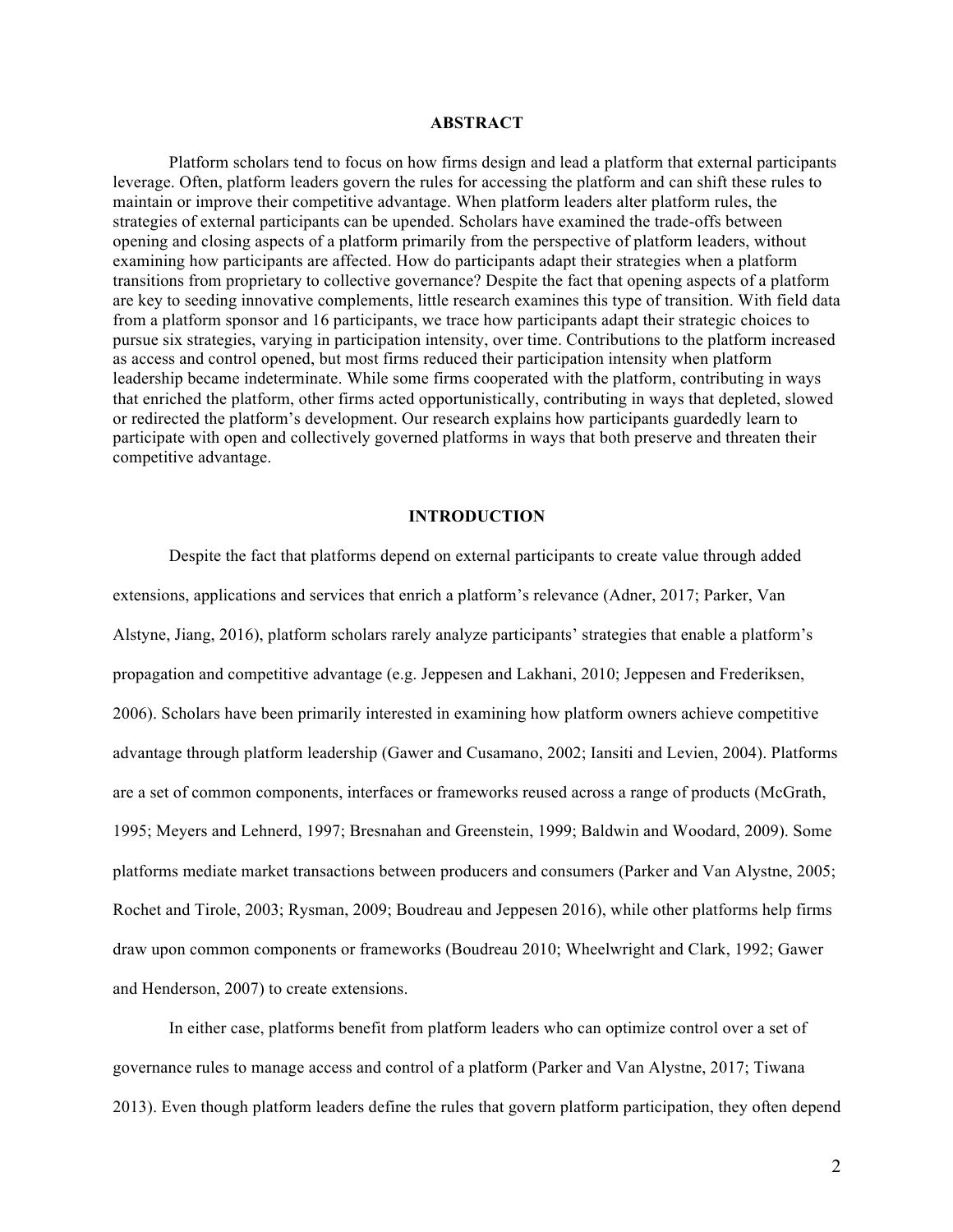#### **ABSTRACT**

Platform scholars tend to focus on how firms design and lead a platform that external participants leverage. Often, platform leaders govern the rules for accessing the platform and can shift these rules to maintain or improve their competitive advantage. When platform leaders alter platform rules, the strategies of external participants can be upended. Scholars have examined the trade-offs between opening and closing aspects of a platform primarily from the perspective of platform leaders, without examining how participants are affected. How do participants adapt their strategies when a platform transitions from proprietary to collective governance? Despite the fact that opening aspects of a platform are key to seeding innovative complements, little research examines this type of transition. With field data from a platform sponsor and 16 participants, we trace how participants adapt their strategic choices to pursue six strategies, varying in participation intensity, over time. Contributions to the platform increased as access and control opened, but most firms reduced their participation intensity when platform leadership became indeterminate. While some firms cooperated with the platform, contributing in ways that enriched the platform, other firms acted opportunistically, contributing in ways that depleted, slowed or redirected the platform's development. Our research explains how participants guardedly learn to participate with open and collectively governed platforms in ways that both preserve and threaten their competitive advantage.

### **INTRODUCTION**

Despite the fact that platforms depend on external participants to create value through added extensions, applications and services that enrich a platform's relevance (Adner, 2017; Parker, Van Alstyne, Jiang, 2016), platform scholars rarely analyze participants' strategies that enable a platform's propagation and competitive advantage (e.g. Jeppesen and Lakhani, 2010; Jeppesen and Frederiksen, 2006). Scholars have been primarily interested in examining how platform owners achieve competitive advantage through platform leadership (Gawer and Cusamano, 2002; Iansiti and Levien, 2004). Platforms are a set of common components, interfaces or frameworks reused across a range of products (McGrath, 1995; Meyers and Lehnerd, 1997; Bresnahan and Greenstein, 1999; Baldwin and Woodard, 2009). Some platforms mediate market transactions between producers and consumers (Parker and Van Alystne, 2005; Rochet and Tirole, 2003; Rysman, 2009; Boudreau and Jeppesen 2016), while other platforms help firms draw upon common components or frameworks (Boudreau 2010; Wheelwright and Clark, 1992; Gawer and Henderson, 2007) to create extensions.

In either case, platforms benefit from platform leaders who can optimize control over a set of governance rules to manage access and control of a platform (Parker and Van Alystne, 2017; Tiwana 2013). Even though platform leaders define the rules that govern platform participation, they often depend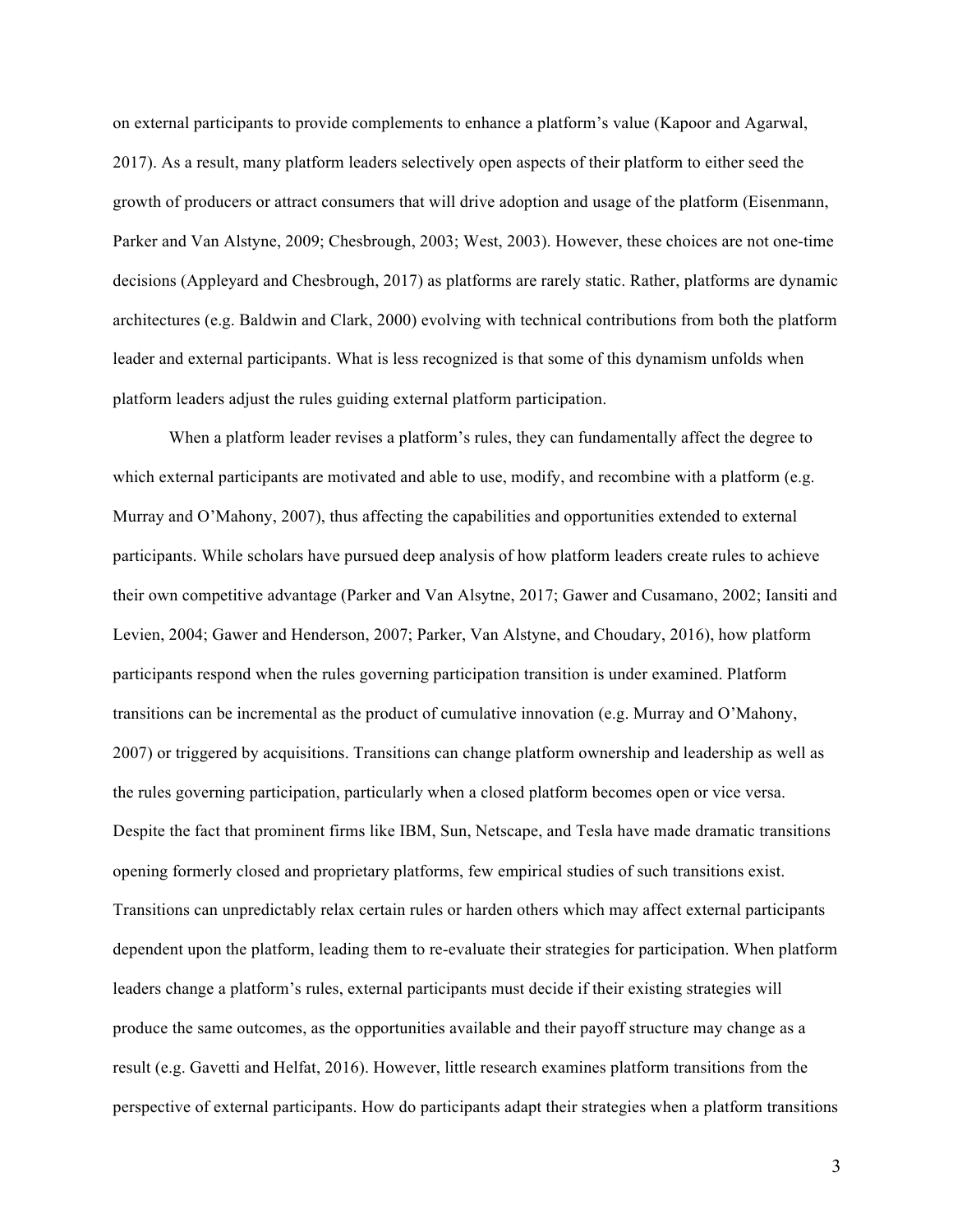on external participants to provide complements to enhance a platform's value (Kapoor and Agarwal, 2017). As a result, many platform leaders selectively open aspects of their platform to either seed the growth of producers or attract consumers that will drive adoption and usage of the platform (Eisenmann, Parker and Van Alstyne, 2009; Chesbrough, 2003; West, 2003). However, these choices are not one-time decisions (Appleyard and Chesbrough, 2017) as platforms are rarely static. Rather, platforms are dynamic architectures (e.g. Baldwin and Clark, 2000) evolving with technical contributions from both the platform leader and external participants. What is less recognized is that some of this dynamism unfolds when platform leaders adjust the rules guiding external platform participation.

When a platform leader revises a platform's rules, they can fundamentally affect the degree to which external participants are motivated and able to use, modify, and recombine with a platform (e.g. Murray and O'Mahony, 2007), thus affecting the capabilities and opportunities extended to external participants. While scholars have pursued deep analysis of how platform leaders create rules to achieve their own competitive advantage (Parker and Van Alsytne, 2017; Gawer and Cusamano, 2002; Iansiti and Levien, 2004; Gawer and Henderson, 2007; Parker, Van Alstyne, and Choudary, 2016), how platform participants respond when the rules governing participation transition is under examined. Platform transitions can be incremental as the product of cumulative innovation (e.g. Murray and O'Mahony, 2007) or triggered by acquisitions. Transitions can change platform ownership and leadership as well as the rules governing participation, particularly when a closed platform becomes open or vice versa. Despite the fact that prominent firms like IBM, Sun, Netscape, and Tesla have made dramatic transitions opening formerly closed and proprietary platforms, few empirical studies of such transitions exist. Transitions can unpredictably relax certain rules or harden others which may affect external participants dependent upon the platform, leading them to re-evaluate their strategies for participation. When platform leaders change a platform's rules, external participants must decide if their existing strategies will produce the same outcomes, as the opportunities available and their payoff structure may change as a result (e.g. Gavetti and Helfat, 2016). However, little research examines platform transitions from the perspective of external participants. How do participants adapt their strategies when a platform transitions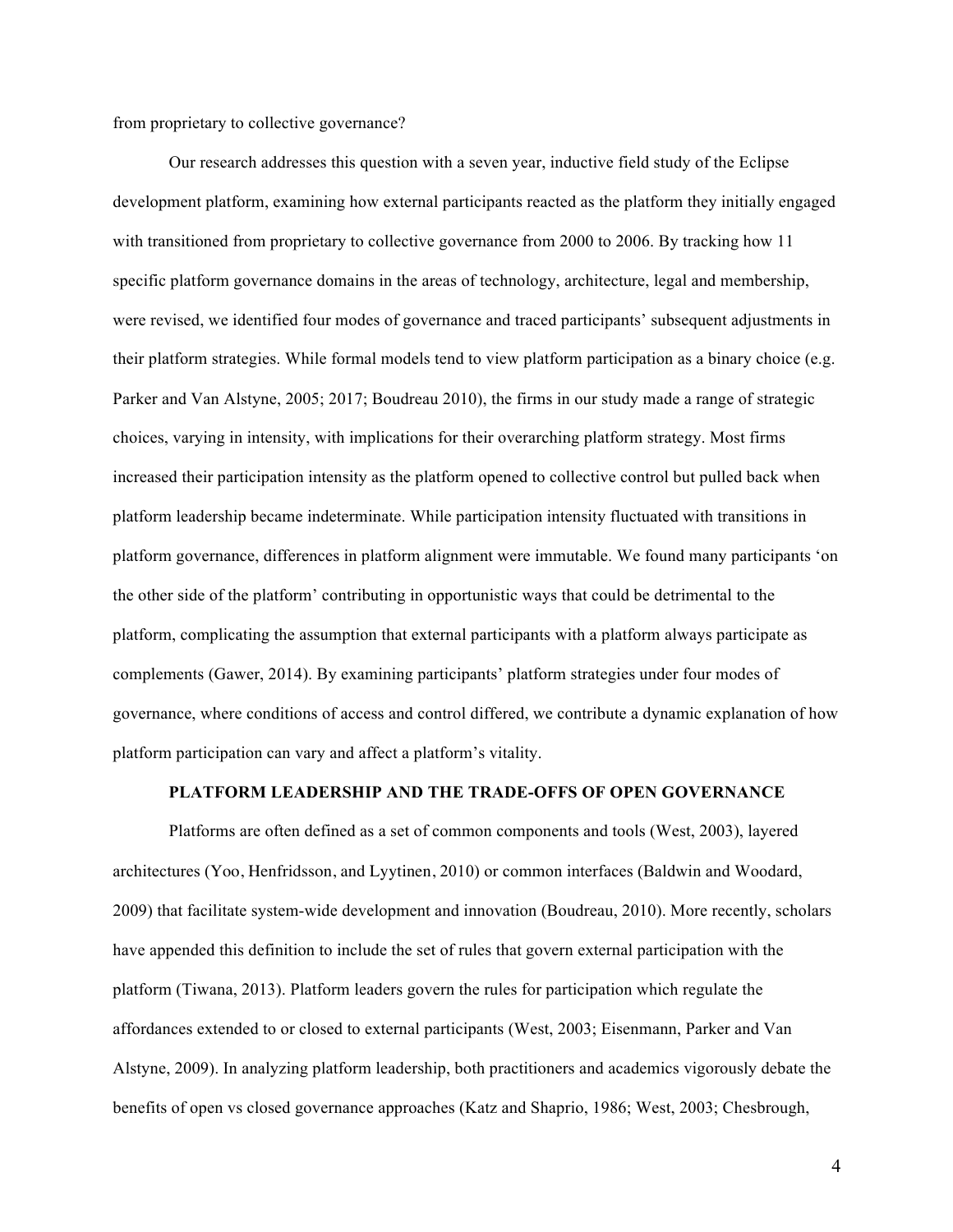from proprietary to collective governance?

Our research addresses this question with a seven year, inductive field study of the Eclipse development platform, examining how external participants reacted as the platform they initially engaged with transitioned from proprietary to collective governance from 2000 to 2006. By tracking how 11 specific platform governance domains in the areas of technology, architecture, legal and membership, were revised, we identified four modes of governance and traced participants' subsequent adjustments in their platform strategies. While formal models tend to view platform participation as a binary choice (e.g. Parker and Van Alstyne, 2005; 2017; Boudreau 2010), the firms in our study made a range of strategic choices, varying in intensity, with implications for their overarching platform strategy. Most firms increased their participation intensity as the platform opened to collective control but pulled back when platform leadership became indeterminate. While participation intensity fluctuated with transitions in platform governance, differences in platform alignment were immutable. We found many participants 'on the other side of the platform' contributing in opportunistic ways that could be detrimental to the platform, complicating the assumption that external participants with a platform always participate as complements (Gawer, 2014). By examining participants' platform strategies under four modes of governance, where conditions of access and control differed, we contribute a dynamic explanation of how platform participation can vary and affect a platform's vitality.

#### **PLATFORM LEADERSHIP AND THE TRADE-OFFS OF OPEN GOVERNANCE**

Platforms are often defined as a set of common components and tools (West, 2003), layered architectures (Yoo, Henfridsson, and Lyytinen, 2010) or common interfaces (Baldwin and Woodard, 2009) that facilitate system-wide development and innovation (Boudreau, 2010). More recently, scholars have appended this definition to include the set of rules that govern external participation with the platform (Tiwana, 2013). Platform leaders govern the rules for participation which regulate the affordances extended to or closed to external participants (West, 2003; Eisenmann, Parker and Van Alstyne, 2009). In analyzing platform leadership, both practitioners and academics vigorously debate the benefits of open vs closed governance approaches (Katz and Shaprio, 1986; West, 2003; Chesbrough,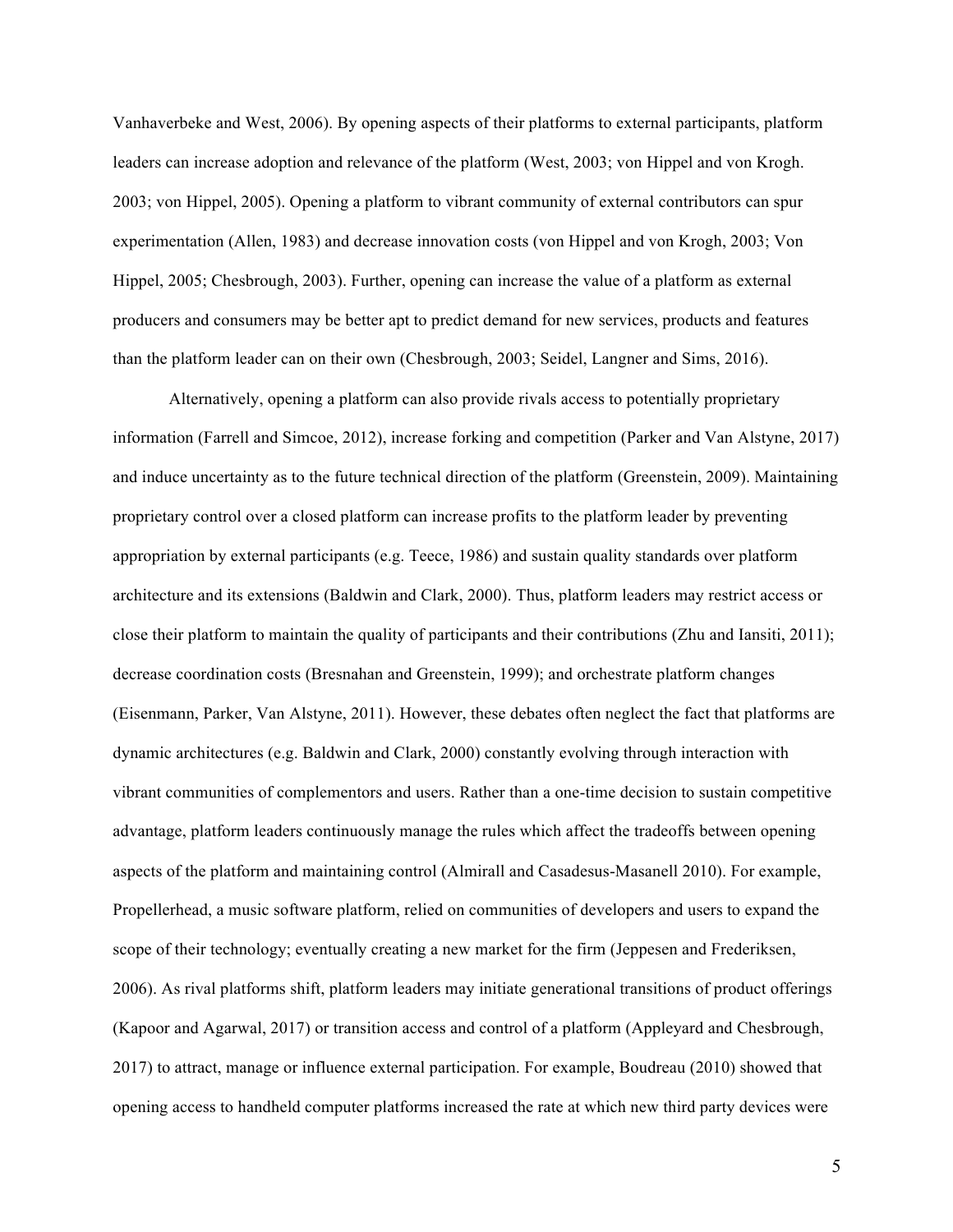Vanhaverbeke and West, 2006). By opening aspects of their platforms to external participants, platform leaders can increase adoption and relevance of the platform (West, 2003; von Hippel and von Krogh. 2003; von Hippel, 2005). Opening a platform to vibrant community of external contributors can spur experimentation (Allen, 1983) and decrease innovation costs (von Hippel and von Krogh, 2003; Von Hippel, 2005; Chesbrough, 2003). Further, opening can increase the value of a platform as external producers and consumers may be better apt to predict demand for new services, products and features than the platform leader can on their own (Chesbrough, 2003; Seidel, Langner and Sims, 2016).

Alternatively, opening a platform can also provide rivals access to potentially proprietary information (Farrell and Simcoe, 2012), increase forking and competition (Parker and Van Alstyne, 2017) and induce uncertainty as to the future technical direction of the platform (Greenstein, 2009). Maintaining proprietary control over a closed platform can increase profits to the platform leader by preventing appropriation by external participants (e.g. Teece, 1986) and sustain quality standards over platform architecture and its extensions (Baldwin and Clark, 2000). Thus, platform leaders may restrict access or close their platform to maintain the quality of participants and their contributions (Zhu and Iansiti, 2011); decrease coordination costs (Bresnahan and Greenstein, 1999); and orchestrate platform changes (Eisenmann, Parker, Van Alstyne, 2011). However, these debates often neglect the fact that platforms are dynamic architectures (e.g. Baldwin and Clark, 2000) constantly evolving through interaction with vibrant communities of complementors and users. Rather than a one-time decision to sustain competitive advantage, platform leaders continuously manage the rules which affect the tradeoffs between opening aspects of the platform and maintaining control (Almirall and Casadesus-Masanell 2010). For example, Propellerhead, a music software platform, relied on communities of developers and users to expand the scope of their technology; eventually creating a new market for the firm (Jeppesen and Frederiksen, 2006). As rival platforms shift, platform leaders may initiate generational transitions of product offerings (Kapoor and Agarwal, 2017) or transition access and control of a platform (Appleyard and Chesbrough, 2017) to attract, manage or influence external participation. For example, Boudreau (2010) showed that opening access to handheld computer platforms increased the rate at which new third party devices were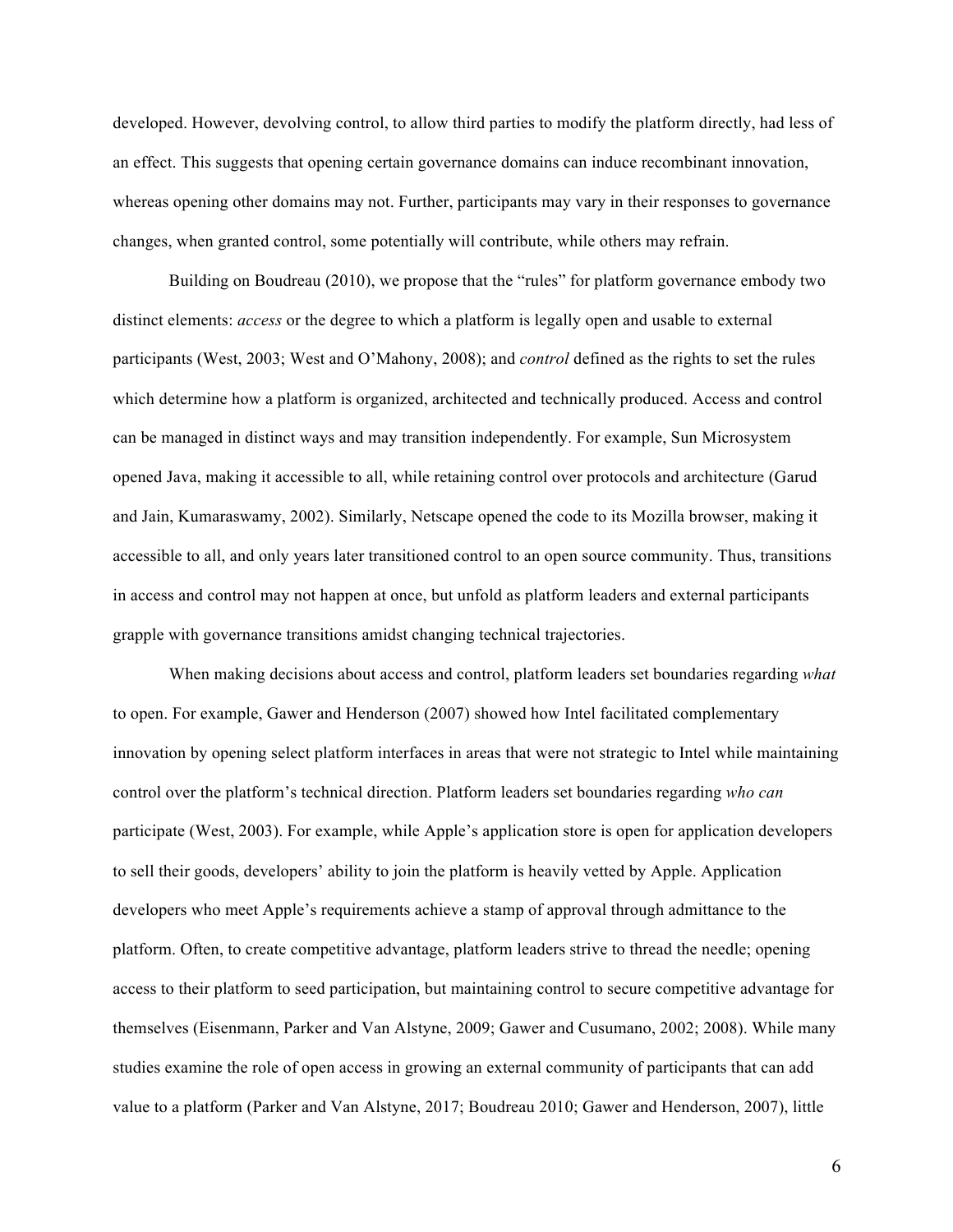developed. However, devolving control, to allow third parties to modify the platform directly, had less of an effect. This suggests that opening certain governance domains can induce recombinant innovation, whereas opening other domains may not. Further, participants may vary in their responses to governance changes, when granted control, some potentially will contribute, while others may refrain.

Building on Boudreau (2010), we propose that the "rules" for platform governance embody two distinct elements: *access* or the degree to which a platform is legally open and usable to external participants (West, 2003; West and O'Mahony, 2008); and *control* defined as the rights to set the rules which determine how a platform is organized, architected and technically produced. Access and control can be managed in distinct ways and may transition independently. For example, Sun Microsystem opened Java, making it accessible to all, while retaining control over protocols and architecture (Garud and Jain, Kumaraswamy, 2002). Similarly, Netscape opened the code to its Mozilla browser, making it accessible to all, and only years later transitioned control to an open source community. Thus, transitions in access and control may not happen at once, but unfold as platform leaders and external participants grapple with governance transitions amidst changing technical trajectories.

When making decisions about access and control, platform leaders set boundaries regarding *what*  to open. For example, Gawer and Henderson (2007) showed how Intel facilitated complementary innovation by opening select platform interfaces in areas that were not strategic to Intel while maintaining control over the platform's technical direction. Platform leaders set boundaries regarding *who can*  participate (West, 2003). For example, while Apple's application store is open for application developers to sell their goods, developers' ability to join the platform is heavily vetted by Apple. Application developers who meet Apple's requirements achieve a stamp of approval through admittance to the platform. Often, to create competitive advantage, platform leaders strive to thread the needle; opening access to their platform to seed participation, but maintaining control to secure competitive advantage for themselves (Eisenmann, Parker and Van Alstyne, 2009; Gawer and Cusumano, 2002; 2008). While many studies examine the role of open access in growing an external community of participants that can add value to a platform (Parker and Van Alstyne, 2017; Boudreau 2010; Gawer and Henderson, 2007), little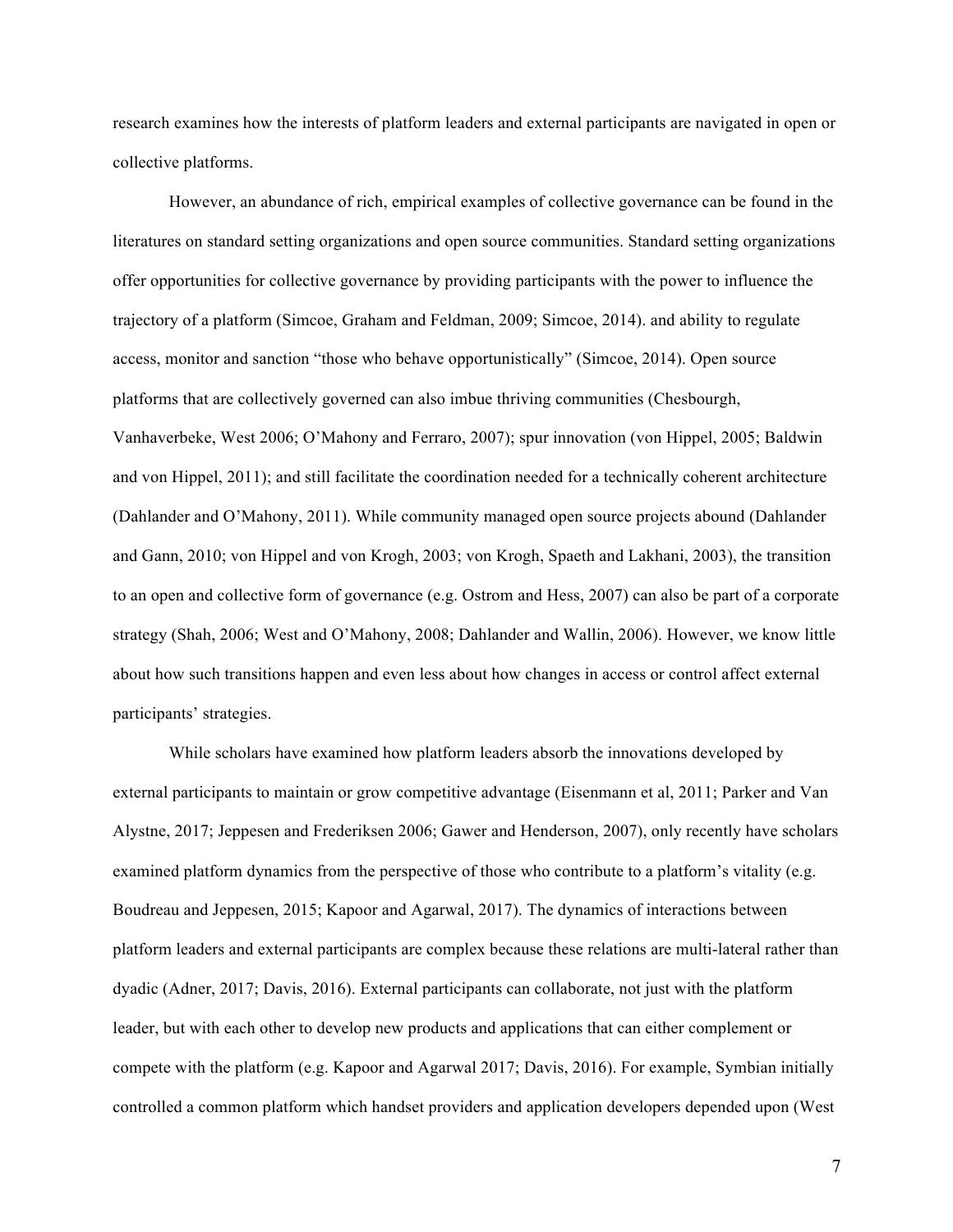research examines how the interests of platform leaders and external participants are navigated in open or collective platforms.

However, an abundance of rich, empirical examples of collective governance can be found in the literatures on standard setting organizations and open source communities. Standard setting organizations offer opportunities for collective governance by providing participants with the power to influence the trajectory of a platform (Simcoe, Graham and Feldman, 2009; Simcoe, 2014). and ability to regulate access, monitor and sanction "those who behave opportunistically" (Simcoe, 2014). Open source platforms that are collectively governed can also imbue thriving communities (Chesbourgh, Vanhaverbeke, West 2006; O'Mahony and Ferraro, 2007); spur innovation (von Hippel, 2005; Baldwin and von Hippel, 2011); and still facilitate the coordination needed for a technically coherent architecture (Dahlander and O'Mahony, 2011). While community managed open source projects abound (Dahlander and Gann, 2010; von Hippel and von Krogh, 2003; von Krogh, Spaeth and Lakhani, 2003), the transition to an open and collective form of governance (e.g. Ostrom and Hess, 2007) can also be part of a corporate strategy (Shah, 2006; West and O'Mahony, 2008; Dahlander and Wallin, 2006). However, we know little about how such transitions happen and even less about how changes in access or control affect external participants' strategies.

While scholars have examined how platform leaders absorb the innovations developed by external participants to maintain or grow competitive advantage (Eisenmann et al, 2011; Parker and Van Alystne, 2017; Jeppesen and Frederiksen 2006; Gawer and Henderson, 2007), only recently have scholars examined platform dynamics from the perspective of those who contribute to a platform's vitality (e.g. Boudreau and Jeppesen, 2015; Kapoor and Agarwal, 2017). The dynamics of interactions between platform leaders and external participants are complex because these relations are multi-lateral rather than dyadic (Adner, 2017; Davis, 2016). External participants can collaborate, not just with the platform leader, but with each other to develop new products and applications that can either complement or compete with the platform (e.g. Kapoor and Agarwal 2017; Davis, 2016). For example, Symbian initially controlled a common platform which handset providers and application developers depended upon (West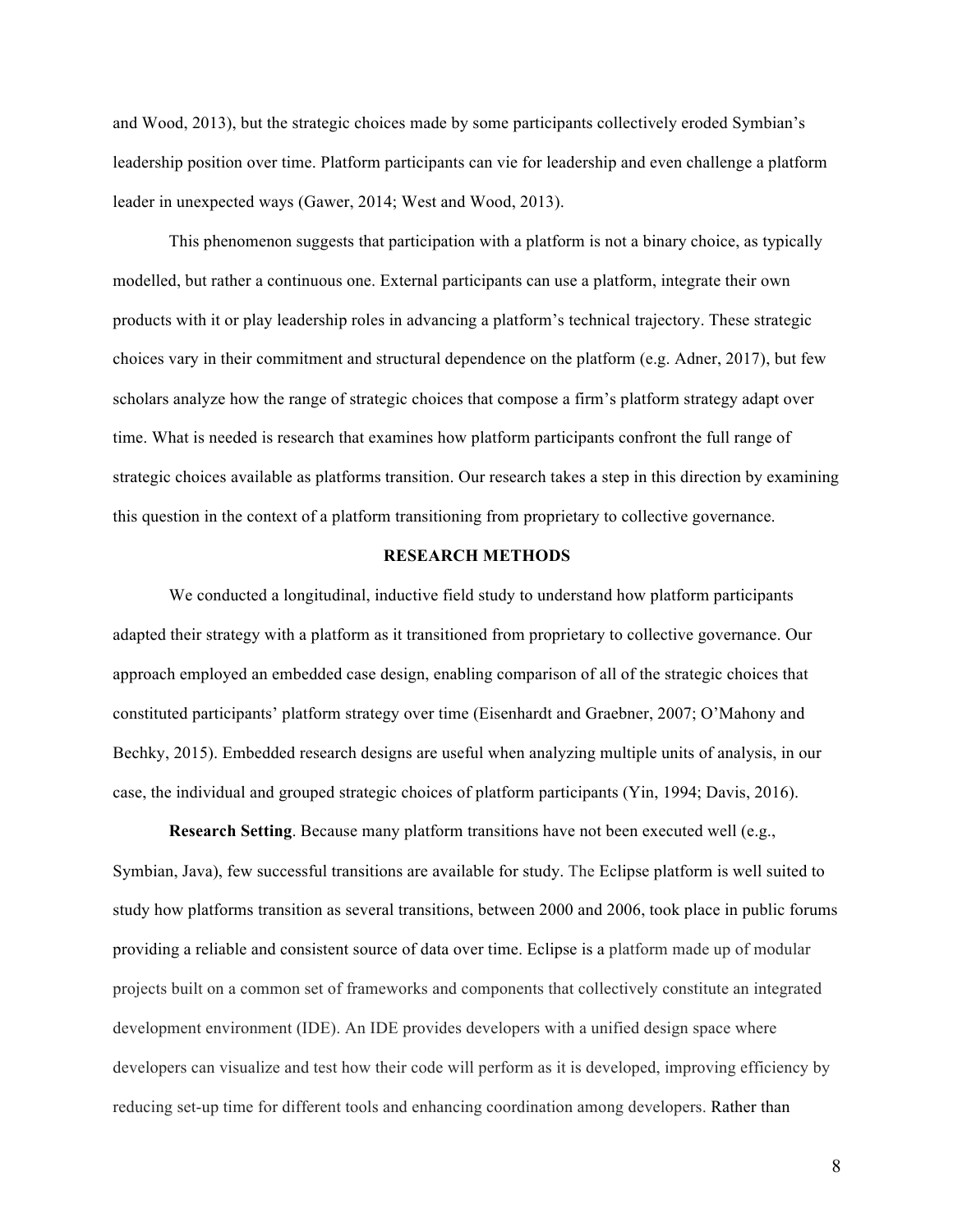and Wood, 2013), but the strategic choices made by some participants collectively eroded Symbian's leadership position over time. Platform participants can vie for leadership and even challenge a platform leader in unexpected ways (Gawer, 2014; West and Wood, 2013).

This phenomenon suggests that participation with a platform is not a binary choice, as typically modelled, but rather a continuous one. External participants can use a platform, integrate their own products with it or play leadership roles in advancing a platform's technical trajectory. These strategic choices vary in their commitment and structural dependence on the platform (e.g. Adner, 2017), but few scholars analyze how the range of strategic choices that compose a firm's platform strategy adapt over time. What is needed is research that examines how platform participants confront the full range of strategic choices available as platforms transition. Our research takes a step in this direction by examining this question in the context of a platform transitioning from proprietary to collective governance.

### **RESEARCH METHODS**

We conducted a longitudinal, inductive field study to understand how platform participants adapted their strategy with a platform as it transitioned from proprietary to collective governance. Our approach employed an embedded case design, enabling comparison of all of the strategic choices that constituted participants' platform strategy over time (Eisenhardt and Graebner, 2007; O'Mahony and Bechky, 2015). Embedded research designs are useful when analyzing multiple units of analysis, in our case, the individual and grouped strategic choices of platform participants (Yin, 1994; Davis, 2016).

**Research Setting**. Because many platform transitions have not been executed well (e.g., Symbian, Java), few successful transitions are available for study. The Eclipse platform is well suited to study how platforms transition as several transitions, between 2000 and 2006, took place in public forums providing a reliable and consistent source of data over time. Eclipse is a platform made up of modular projects built on a common set of frameworks and components that collectively constitute an integrated development environment (IDE). An IDE provides developers with a unified design space where developers can visualize and test how their code will perform as it is developed, improving efficiency by reducing set-up time for different tools and enhancing coordination among developers. Rather than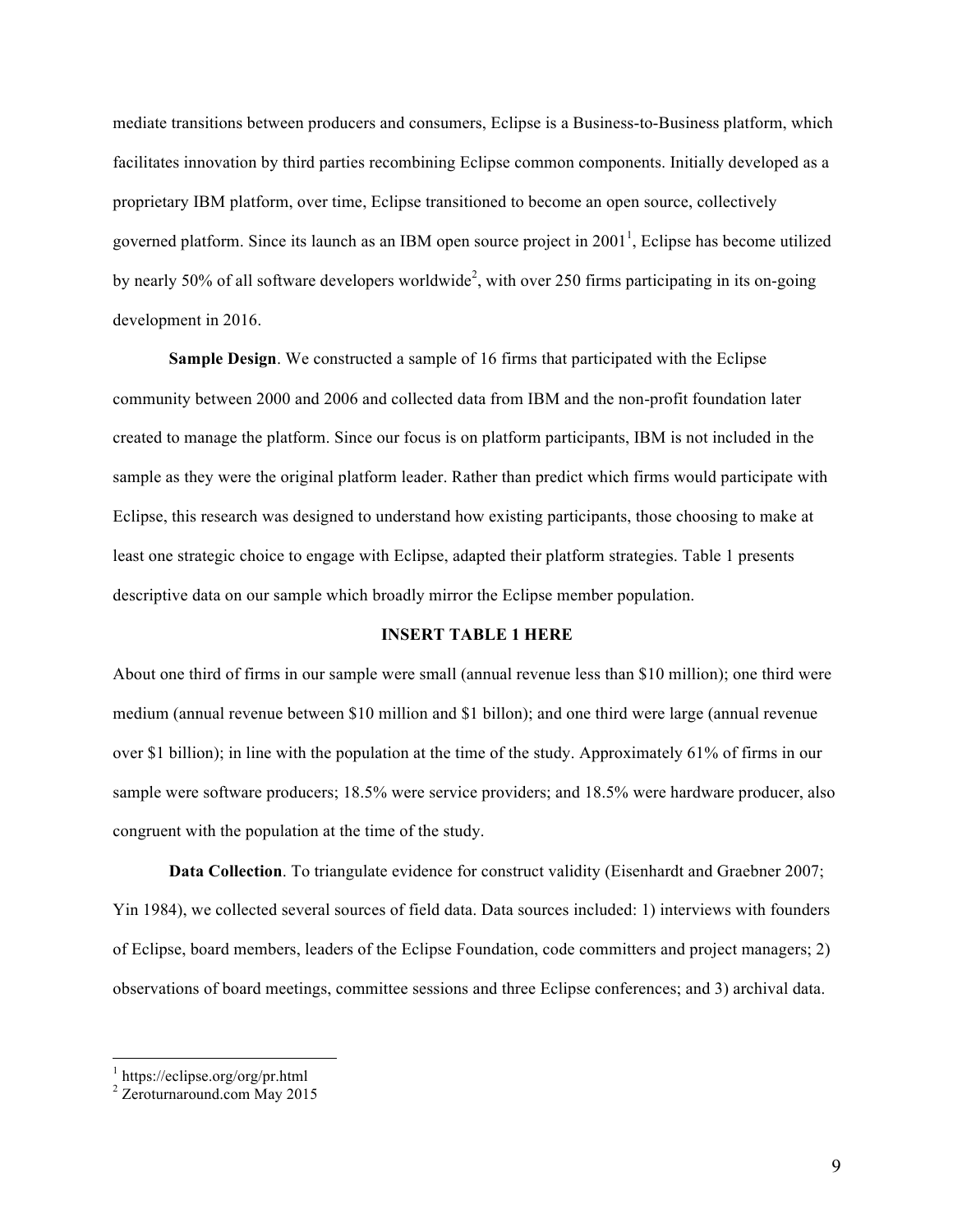mediate transitions between producers and consumers, Eclipse is a Business-to-Business platform, which facilitates innovation by third parties recombining Eclipse common components. Initially developed as a proprietary IBM platform, over time, Eclipse transitioned to become an open source, collectively governed platform. Since its launch as an IBM open source project in  $2001<sup>1</sup>$ , Eclipse has become utilized by nearly 50% of all software developers worldwide<sup>2</sup>, with over 250 firms participating in its on-going development in 2016.

**Sample Design**. We constructed a sample of 16 firms that participated with the Eclipse community between 2000 and 2006 and collected data from IBM and the non-profit foundation later created to manage the platform. Since our focus is on platform participants, IBM is not included in the sample as they were the original platform leader. Rather than predict which firms would participate with Eclipse, this research was designed to understand how existing participants, those choosing to make at least one strategic choice to engage with Eclipse, adapted their platform strategies. Table 1 presents descriptive data on our sample which broadly mirror the Eclipse member population.

## **INSERT TABLE 1 HERE**

About one third of firms in our sample were small (annual revenue less than \$10 million); one third were medium (annual revenue between \$10 million and \$1 billon); and one third were large (annual revenue over \$1 billion); in line with the population at the time of the study. Approximately 61% of firms in our sample were software producers; 18.5% were service providers; and 18.5% were hardware producer, also congruent with the population at the time of the study.

**Data Collection**. To triangulate evidence for construct validity (Eisenhardt and Graebner 2007; Yin 1984), we collected several sources of field data. Data sources included: 1) interviews with founders of Eclipse, board members, leaders of the Eclipse Foundation, code committers and project managers; 2) observations of board meetings, committee sessions and three Eclipse conferences; and 3) archival data.

 $\frac{1}{2}$  https://eclipse.org/org/pr.html<br> $\frac{2}{2}$  Zeroturnaround.com May 2015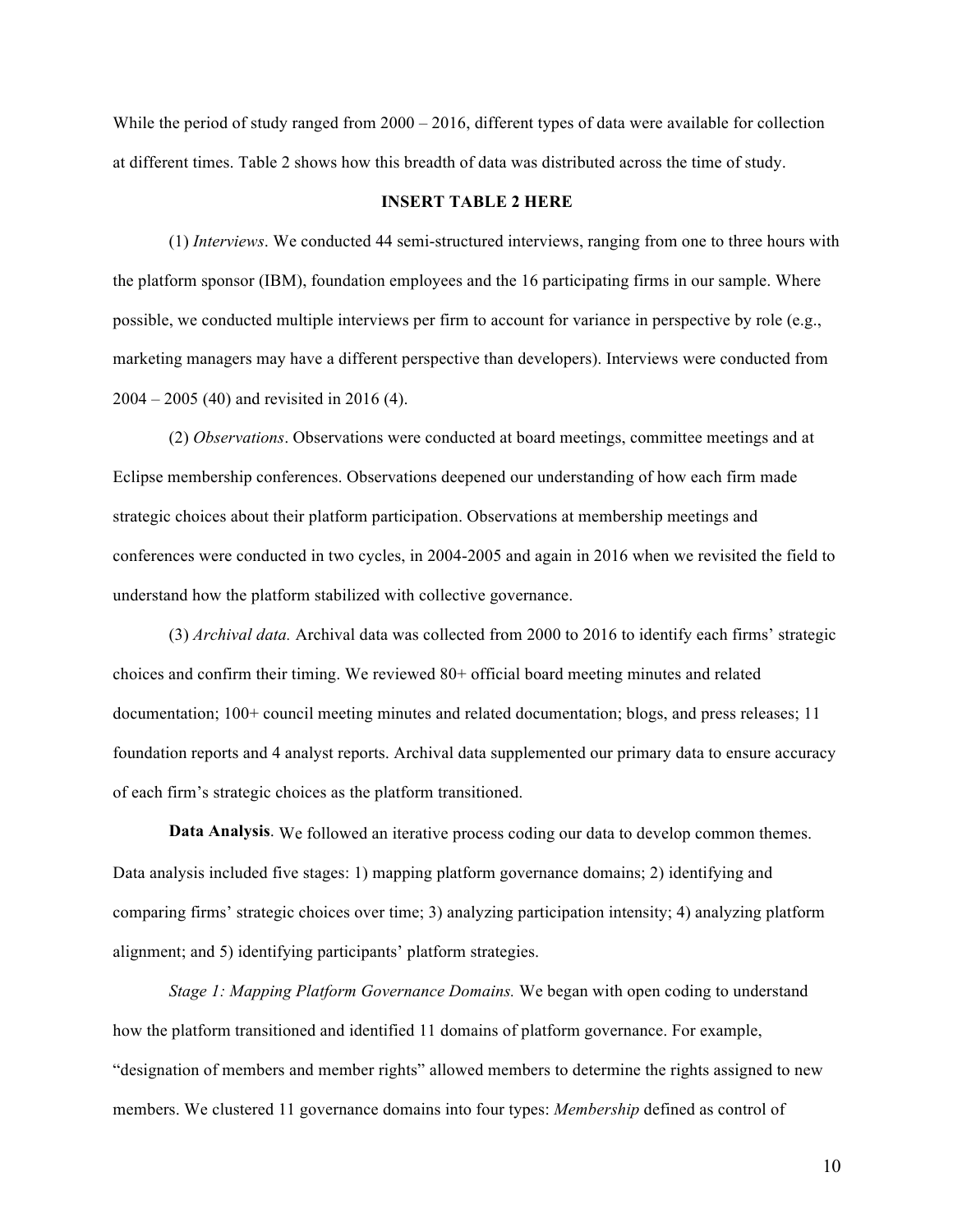While the period of study ranged from 2000 – 2016, different types of data were available for collection at different times. Table 2 shows how this breadth of data was distributed across the time of study.

#### **INSERT TABLE 2 HERE**

(1) *Interviews*. We conducted 44 semi-structured interviews, ranging from one to three hours with the platform sponsor (IBM), foundation employees and the 16 participating firms in our sample. Where possible, we conducted multiple interviews per firm to account for variance in perspective by role (e.g., marketing managers may have a different perspective than developers). Interviews were conducted from 2004 – 2005 (40) and revisited in 2016 (4).

(2) *Observations*. Observations were conducted at board meetings, committee meetings and at Eclipse membership conferences. Observations deepened our understanding of how each firm made strategic choices about their platform participation. Observations at membership meetings and conferences were conducted in two cycles, in 2004-2005 and again in 2016 when we revisited the field to understand how the platform stabilized with collective governance.

(3) *Archival data.* Archival data was collected from 2000 to 2016 to identify each firms' strategic choices and confirm their timing. We reviewed 80+ official board meeting minutes and related documentation; 100+ council meeting minutes and related documentation; blogs, and press releases; 11 foundation reports and 4 analyst reports. Archival data supplemented our primary data to ensure accuracy of each firm's strategic choices as the platform transitioned.

**Data Analysis**. We followed an iterative process coding our data to develop common themes. Data analysis included five stages: 1) mapping platform governance domains; 2) identifying and comparing firms' strategic choices over time; 3) analyzing participation intensity; 4) analyzing platform alignment; and 5) identifying participants' platform strategies.

*Stage 1: Mapping Platform Governance Domains.* We began with open coding to understand how the platform transitioned and identified 11 domains of platform governance. For example, "designation of members and member rights" allowed members to determine the rights assigned to new members. We clustered 11 governance domains into four types: *Membership* defined as control of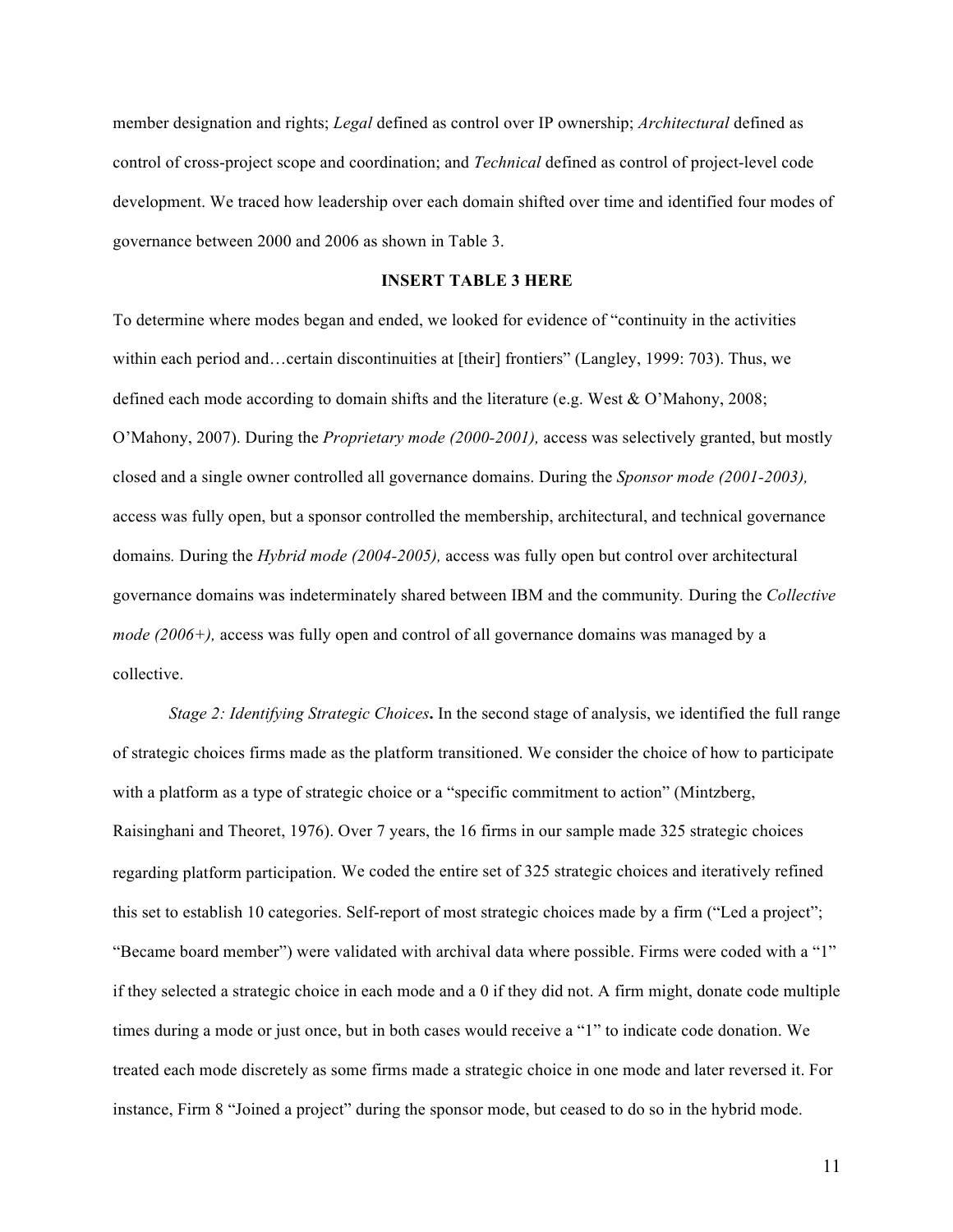member designation and rights; *Legal* defined as control over IP ownership; *Architectural* defined as control of cross-project scope and coordination; and *Technical* defined as control of project-level code development. We traced how leadership over each domain shifted over time and identified four modes of governance between 2000 and 2006 as shown in Table 3.

#### **INSERT TABLE 3 HERE**

To determine where modes began and ended, we looked for evidence of "continuity in the activities within each period and…certain discontinuities at [their] frontiers" (Langley, 1999: 703). Thus, we defined each mode according to domain shifts and the literature (e.g. West & O'Mahony, 2008; O'Mahony, 2007). During the *Proprietary mode (2000-2001),* access was selectively granted, but mostly closed and a single owner controlled all governance domains. During the *Sponsor mode (2001-2003),* access was fully open, but a sponsor controlled the membership, architectural, and technical governance domains*.* During the *Hybrid mode (2004-2005),* access was fully open but control over architectural governance domains was indeterminately shared between IBM and the community*.* During the *Collective mode (2006+),* access was fully open and control of all governance domains was managed by a collective.

*Stage 2: Identifying Strategic Choices***.** In the second stage of analysis, we identified the full range of strategic choices firms made as the platform transitioned. We consider the choice of how to participate with a platform as a type of strategic choice or a "specific commitment to action" (Mintzberg, Raisinghani and Theoret, 1976). Over 7 years, the 16 firms in our sample made 325 strategic choices regarding platform participation. We coded the entire set of 325 strategic choices and iteratively refined this set to establish 10 categories. Self-report of most strategic choices made by a firm ("Led a project"; "Became board member") were validated with archival data where possible. Firms were coded with a "1" if they selected a strategic choice in each mode and a 0 if they did not. A firm might, donate code multiple times during a mode or just once, but in both cases would receive a "1" to indicate code donation. We treated each mode discretely as some firms made a strategic choice in one mode and later reversed it. For instance, Firm 8 "Joined a project" during the sponsor mode, but ceased to do so in the hybrid mode.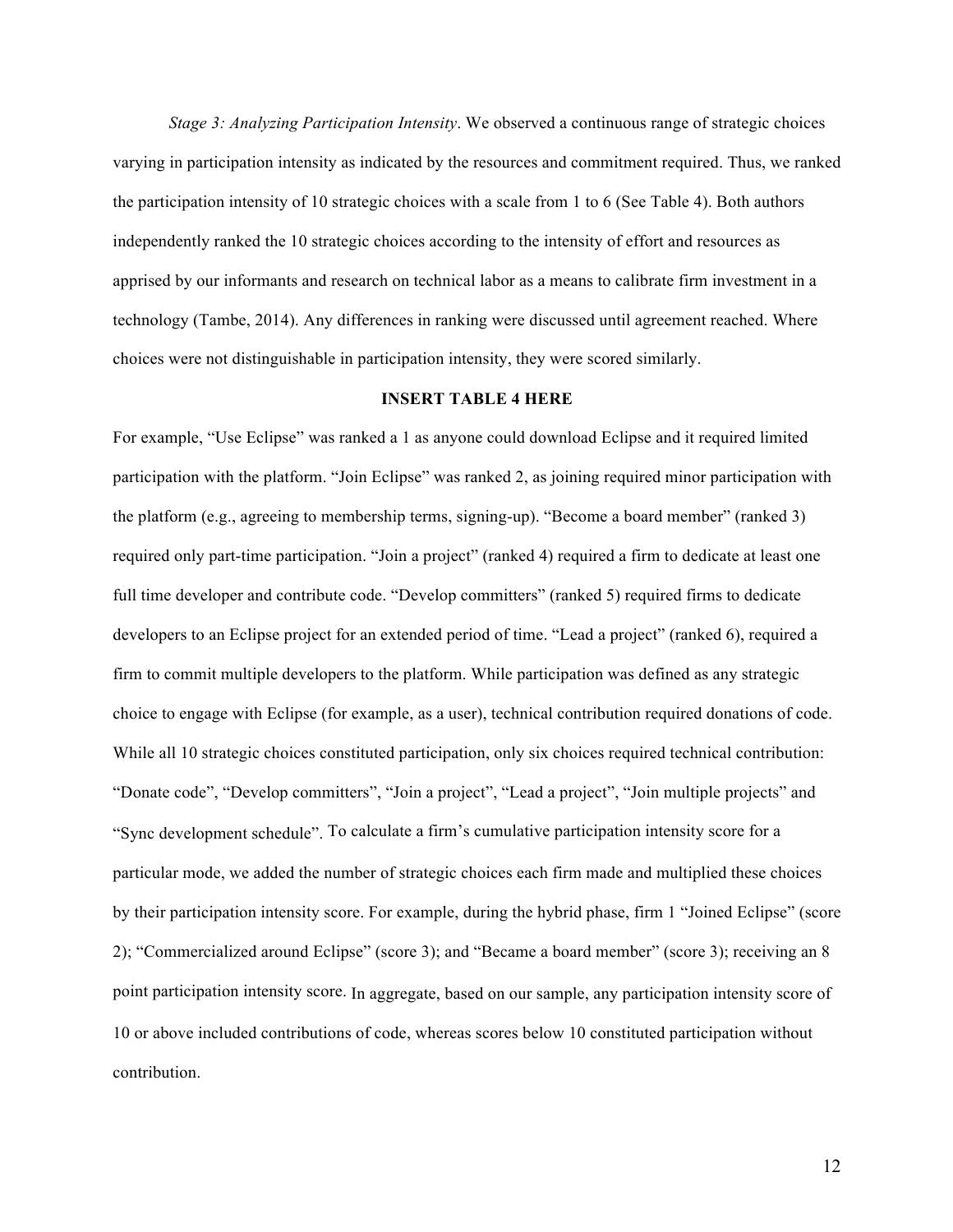*Stage 3: Analyzing Participation Intensity*. We observed a continuous range of strategic choices varying in participation intensity as indicated by the resources and commitment required. Thus, we ranked the participation intensity of 10 strategic choices with a scale from 1 to 6 (See Table 4). Both authors independently ranked the 10 strategic choices according to the intensity of effort and resources as apprised by our informants and research on technical labor as a means to calibrate firm investment in a technology (Tambe, 2014). Any differences in ranking were discussed until agreement reached. Where choices were not distinguishable in participation intensity, they were scored similarly.

#### **INSERT TABLE 4 HERE**

For example, "Use Eclipse" was ranked a 1 as anyone could download Eclipse and it required limited participation with the platform. "Join Eclipse" was ranked 2, as joining required minor participation with the platform (e.g., agreeing to membership terms, signing-up). "Become a board member" (ranked 3) required only part-time participation. "Join a project" (ranked 4) required a firm to dedicate at least one full time developer and contribute code. "Develop committers" (ranked 5) required firms to dedicate developers to an Eclipse project for an extended period of time. "Lead a project" (ranked 6), required a firm to commit multiple developers to the platform. While participation was defined as any strategic choice to engage with Eclipse (for example, as a user), technical contribution required donations of code. While all 10 strategic choices constituted participation, only six choices required technical contribution: "Donate code", "Develop committers", "Join a project", "Lead a project", "Join multiple projects" and "Sync development schedule". To calculate a firm's cumulative participation intensity score for a particular mode, we added the number of strategic choices each firm made and multiplied these choices by their participation intensity score. For example, during the hybrid phase, firm 1 "Joined Eclipse" (score 2); "Commercialized around Eclipse" (score 3); and "Became a board member" (score 3); receiving an 8 point participation intensity score. In aggregate, based on our sample, any participation intensity score of 10 or above included contributions of code, whereas scores below 10 constituted participation without contribution.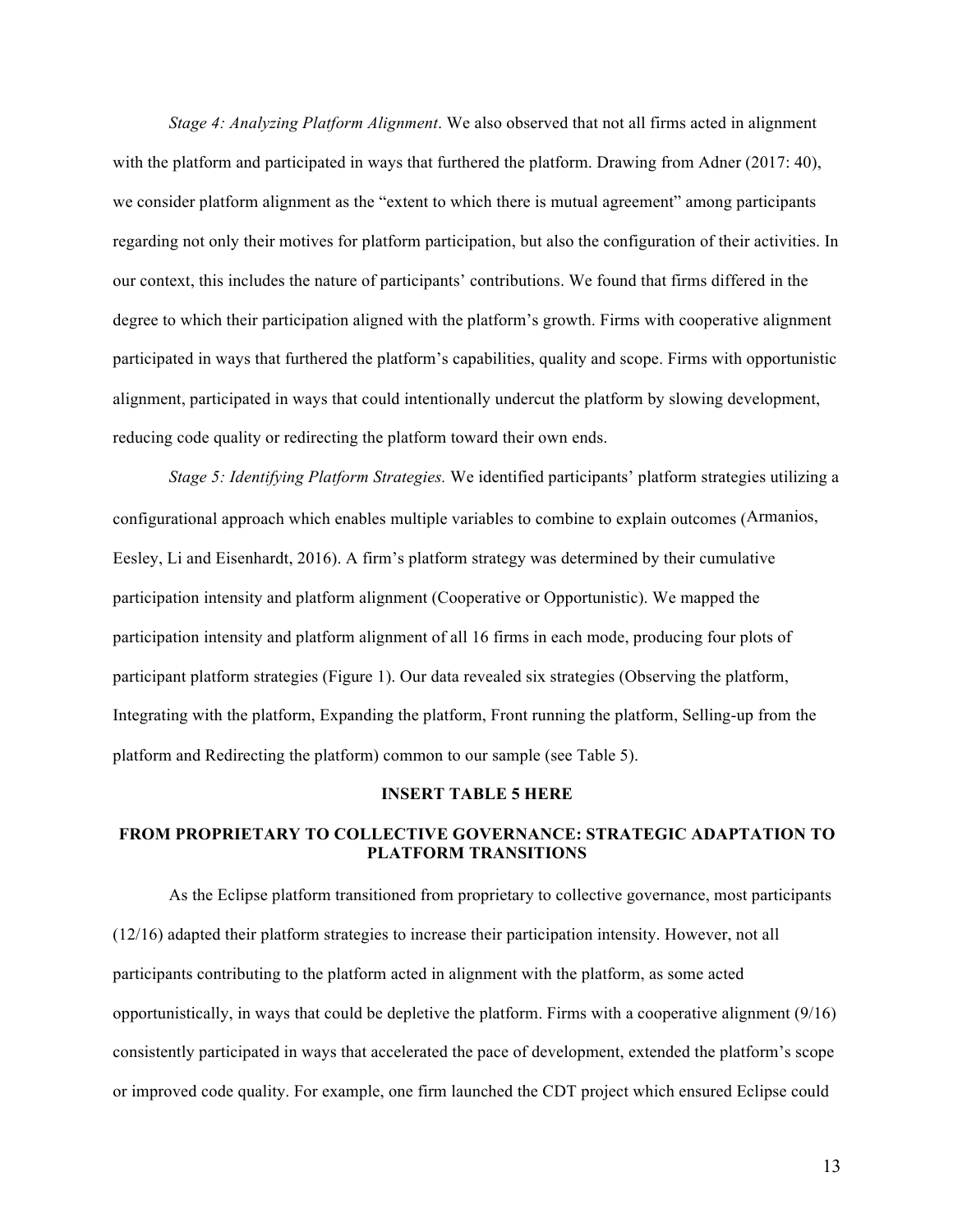*Stage 4: Analyzing Platform Alignment*. We also observed that not all firms acted in alignment with the platform and participated in ways that furthered the platform. Drawing from Adner (2017: 40), we consider platform alignment as the "extent to which there is mutual agreement" among participants regarding not only their motives for platform participation, but also the configuration of their activities. In our context, this includes the nature of participants' contributions. We found that firms differed in the degree to which their participation aligned with the platform's growth. Firms with cooperative alignment participated in ways that furthered the platform's capabilities, quality and scope. Firms with opportunistic alignment, participated in ways that could intentionally undercut the platform by slowing development, reducing code quality or redirecting the platform toward their own ends.

*Stage 5: Identifying Platform Strategies.* We identified participants' platform strategies utilizing a configurational approach which enables multiple variables to combine to explain outcomes (Armanios, Eesley, Li and Eisenhardt, 2016). A firm's platform strategy was determined by their cumulative participation intensity and platform alignment (Cooperative or Opportunistic). We mapped the participation intensity and platform alignment of all 16 firms in each mode, producing four plots of participant platform strategies (Figure 1). Our data revealed six strategies (Observing the platform, Integrating with the platform, Expanding the platform, Front running the platform, Selling-up from the platform and Redirecting the platform) common to our sample (see Table 5).

## **INSERT TABLE 5 HERE**

## **FROM PROPRIETARY TO COLLECTIVE GOVERNANCE: STRATEGIC ADAPTATION TO PLATFORM TRANSITIONS**

As the Eclipse platform transitioned from proprietary to collective governance, most participants (12/16) adapted their platform strategies to increase their participation intensity. However, not all participants contributing to the platform acted in alignment with the platform, as some acted opportunistically, in ways that could be depletive the platform. Firms with a cooperative alignment (9/16) consistently participated in ways that accelerated the pace of development, extended the platform's scope or improved code quality. For example, one firm launched the CDT project which ensured Eclipse could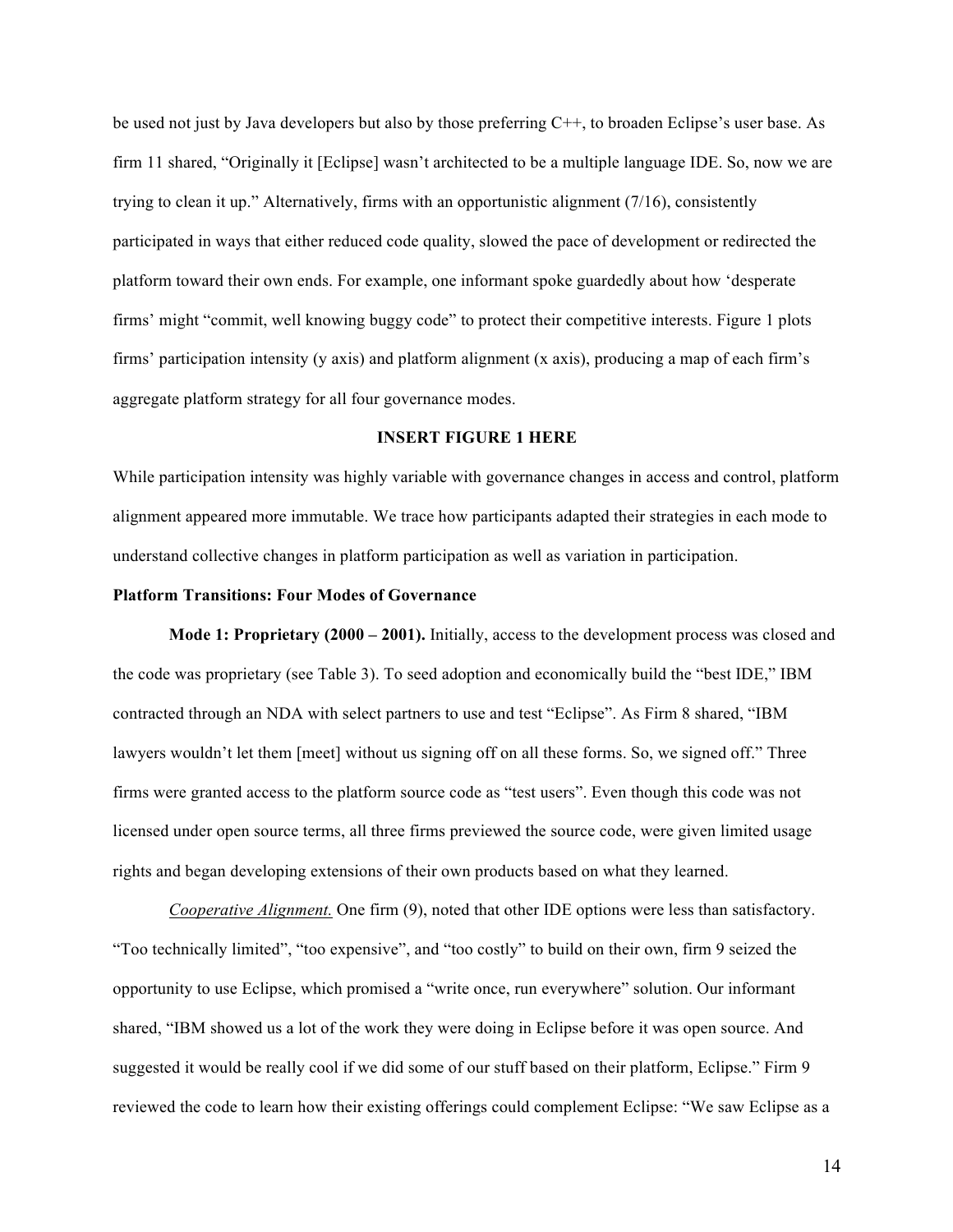be used not just by Java developers but also by those preferring C++, to broaden Eclipse's user base. As firm 11 shared, "Originally it [Eclipse] wasn't architected to be a multiple language IDE. So, now we are trying to clean it up." Alternatively, firms with an opportunistic alignment (7/16), consistently participated in ways that either reduced code quality, slowed the pace of development or redirected the platform toward their own ends. For example, one informant spoke guardedly about how 'desperate firms' might "commit, well knowing buggy code" to protect their competitive interests. Figure 1 plots firms' participation intensity (y axis) and platform alignment (x axis), producing a map of each firm's aggregate platform strategy for all four governance modes.

## **INSERT FIGURE 1 HERE**

While participation intensity was highly variable with governance changes in access and control, platform alignment appeared more immutable. We trace how participants adapted their strategies in each mode to understand collective changes in platform participation as well as variation in participation.

#### **Platform Transitions: Four Modes of Governance**

**Mode 1: Proprietary (2000 – 2001).** Initially, access to the development process was closed and the code was proprietary (see Table 3). To seed adoption and economically build the "best IDE," IBM contracted through an NDA with select partners to use and test "Eclipse". As Firm 8 shared, "IBM lawyers wouldn't let them [meet] without us signing off on all these forms. So, we signed off." Three firms were granted access to the platform source code as "test users". Even though this code was not licensed under open source terms, all three firms previewed the source code, were given limited usage rights and began developing extensions of their own products based on what they learned.

*Cooperative Alignment.* One firm (9), noted that other IDE options were less than satisfactory. "Too technically limited", "too expensive", and "too costly" to build on their own, firm 9 seized the opportunity to use Eclipse, which promised a "write once, run everywhere" solution. Our informant shared, "IBM showed us a lot of the work they were doing in Eclipse before it was open source. And suggested it would be really cool if we did some of our stuff based on their platform, Eclipse." Firm 9 reviewed the code to learn how their existing offerings could complement Eclipse: "We saw Eclipse as a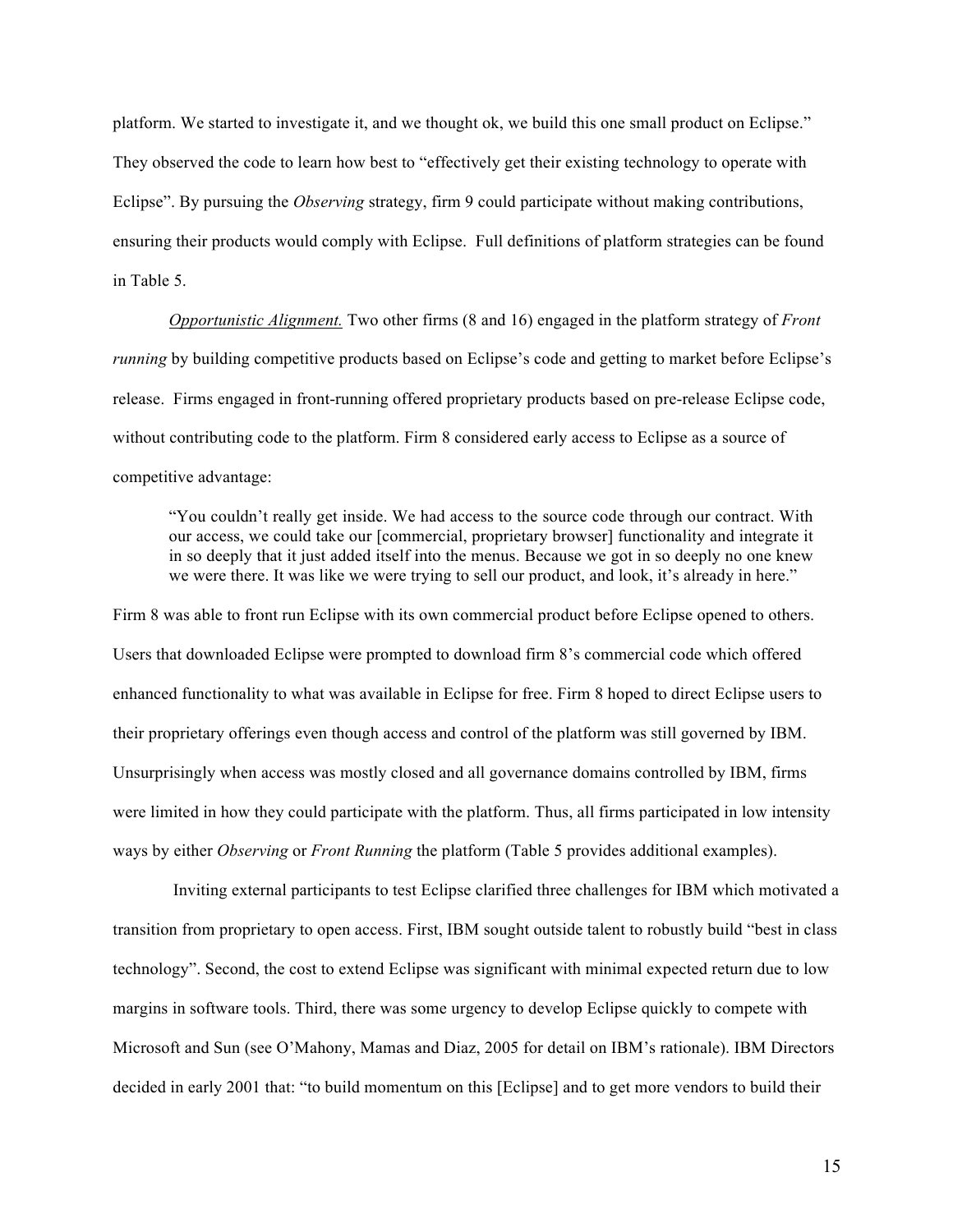platform. We started to investigate it, and we thought ok, we build this one small product on Eclipse." They observed the code to learn how best to "effectively get their existing technology to operate with Eclipse". By pursuing the *Observing* strategy, firm 9 could participate without making contributions, ensuring their products would comply with Eclipse. Full definitions of platform strategies can be found in Table 5.

*Opportunistic Alignment.* Two other firms (8 and 16) engaged in the platform strategy of *Front running* by building competitive products based on Eclipse's code and getting to market before Eclipse's release. Firms engaged in front-running offered proprietary products based on pre-release Eclipse code, without contributing code to the platform. Firm 8 considered early access to Eclipse as a source of competitive advantage:

"You couldn't really get inside. We had access to the source code through our contract. With our access, we could take our [commercial, proprietary browser] functionality and integrate it in so deeply that it just added itself into the menus. Because we got in so deeply no one knew we were there. It was like we were trying to sell our product, and look, it's already in here."

Firm 8 was able to front run Eclipse with its own commercial product before Eclipse opened to others. Users that downloaded Eclipse were prompted to download firm 8's commercial code which offered enhanced functionality to what was available in Eclipse for free. Firm 8 hoped to direct Eclipse users to their proprietary offerings even though access and control of the platform was still governed by IBM. Unsurprisingly when access was mostly closed and all governance domains controlled by IBM, firms were limited in how they could participate with the platform. Thus, all firms participated in low intensity ways by either *Observing* or *Front Running* the platform (Table 5 provides additional examples).

Inviting external participants to test Eclipse clarified three challenges for IBM which motivated a transition from proprietary to open access. First, IBM sought outside talent to robustly build "best in class technology". Second, the cost to extend Eclipse was significant with minimal expected return due to low margins in software tools. Third, there was some urgency to develop Eclipse quickly to compete with Microsoft and Sun (see O'Mahony, Mamas and Diaz, 2005 for detail on IBM's rationale). IBM Directors decided in early 2001 that: "to build momentum on this [Eclipse] and to get more vendors to build their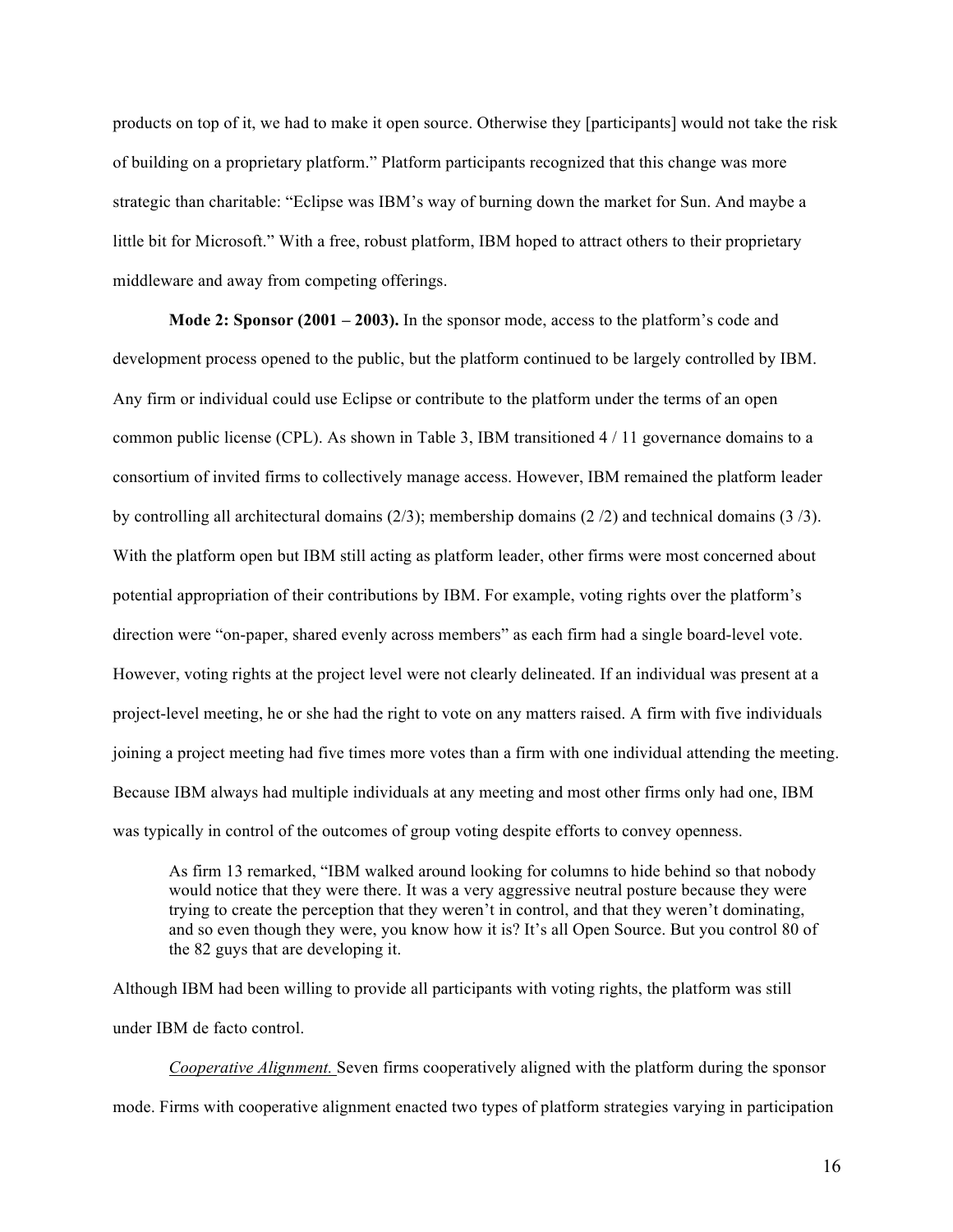products on top of it, we had to make it open source. Otherwise they [participants] would not take the risk of building on a proprietary platform." Platform participants recognized that this change was more strategic than charitable: "Eclipse was IBM's way of burning down the market for Sun. And maybe a little bit for Microsoft." With a free, robust platform, IBM hoped to attract others to their proprietary middleware and away from competing offerings.

**Mode 2: Sponsor (2001 – 2003).** In the sponsor mode, access to the platform's code and development process opened to the public, but the platform continued to be largely controlled by IBM. Any firm or individual could use Eclipse or contribute to the platform under the terms of an open common public license (CPL). As shown in Table 3, IBM transitioned 4 / 11 governance domains to a consortium of invited firms to collectively manage access. However, IBM remained the platform leader by controlling all architectural domains (2/3); membership domains (2 /2) and technical domains (3 /3). With the platform open but IBM still acting as platform leader, other firms were most concerned about potential appropriation of their contributions by IBM. For example, voting rights over the platform's direction were "on-paper, shared evenly across members" as each firm had a single board-level vote. However, voting rights at the project level were not clearly delineated. If an individual was present at a project-level meeting, he or she had the right to vote on any matters raised. A firm with five individuals joining a project meeting had five times more votes than a firm with one individual attending the meeting. Because IBM always had multiple individuals at any meeting and most other firms only had one, IBM was typically in control of the outcomes of group voting despite efforts to convey openness.

As firm 13 remarked, "IBM walked around looking for columns to hide behind so that nobody would notice that they were there. It was a very aggressive neutral posture because they were trying to create the perception that they weren't in control, and that they weren't dominating, and so even though they were, you know how it is? It's all Open Source. But you control 80 of the 82 guys that are developing it.

Although IBM had been willing to provide all participants with voting rights, the platform was still under IBM de facto control.

*Cooperative Alignment.* Seven firms cooperatively aligned with the platform during the sponsor mode. Firms with cooperative alignment enacted two types of platform strategies varying in participation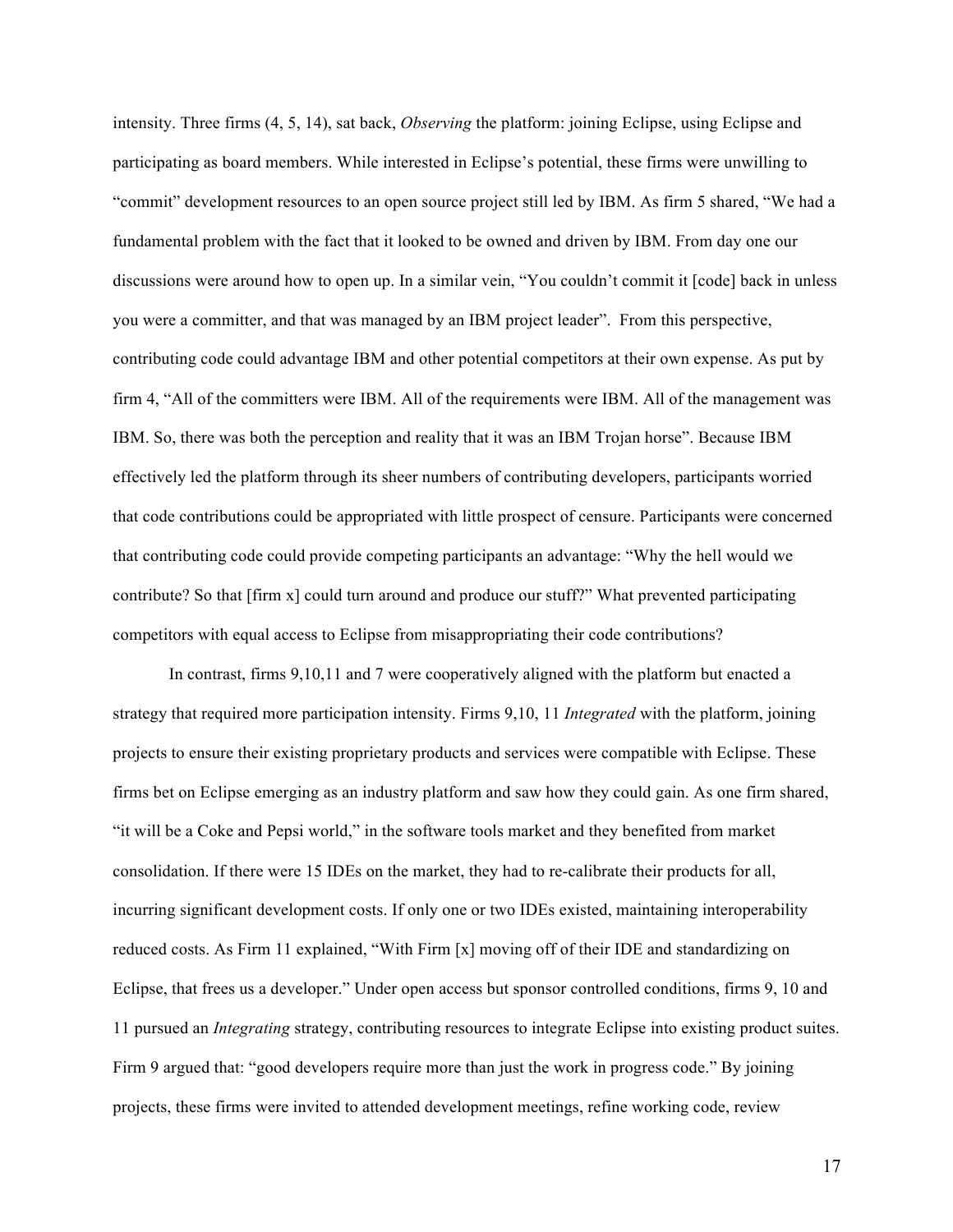intensity. Three firms (4, 5, 14), sat back, *Observing* the platform: joining Eclipse, using Eclipse and participating as board members. While interested in Eclipse's potential, these firms were unwilling to "commit" development resources to an open source project still led by IBM. As firm 5 shared, "We had a fundamental problem with the fact that it looked to be owned and driven by IBM. From day one our discussions were around how to open up. In a similar vein, "You couldn't commit it [code] back in unless you were a committer, and that was managed by an IBM project leader". From this perspective, contributing code could advantage IBM and other potential competitors at their own expense. As put by firm 4, "All of the committers were IBM. All of the requirements were IBM. All of the management was IBM. So, there was both the perception and reality that it was an IBM Trojan horse". Because IBM effectively led the platform through its sheer numbers of contributing developers, participants worried that code contributions could be appropriated with little prospect of censure. Participants were concerned that contributing code could provide competing participants an advantage: "Why the hell would we contribute? So that [firm x] could turn around and produce our stuff?" What prevented participating competitors with equal access to Eclipse from misappropriating their code contributions?

In contrast, firms 9,10,11 and 7 were cooperatively aligned with the platform but enacted a strategy that required more participation intensity. Firms 9,10, 11 *Integrated* with the platform, joining projects to ensure their existing proprietary products and services were compatible with Eclipse. These firms bet on Eclipse emerging as an industry platform and saw how they could gain. As one firm shared, "it will be a Coke and Pepsi world," in the software tools market and they benefited from market consolidation. If there were 15 IDEs on the market, they had to re-calibrate their products for all, incurring significant development costs. If only one or two IDEs existed, maintaining interoperability reduced costs. As Firm 11 explained, "With Firm [x] moving off of their IDE and standardizing on Eclipse, that frees us a developer." Under open access but sponsor controlled conditions, firms 9, 10 and 11 pursued an *Integrating* strategy, contributing resources to integrate Eclipse into existing product suites. Firm 9 argued that: "good developers require more than just the work in progress code." By joining projects, these firms were invited to attended development meetings, refine working code, review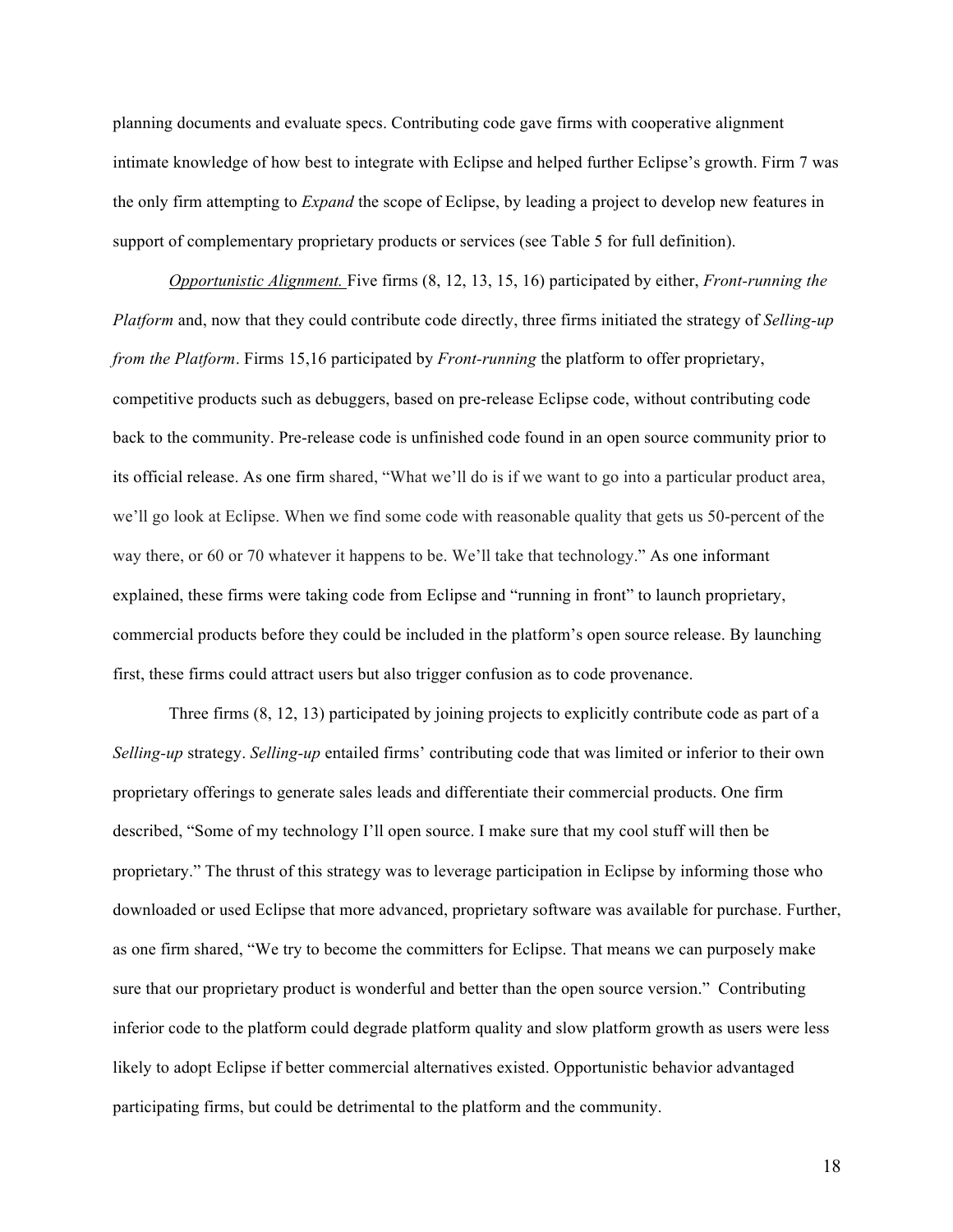planning documents and evaluate specs. Contributing code gave firms with cooperative alignment intimate knowledge of how best to integrate with Eclipse and helped further Eclipse's growth. Firm 7 was the only firm attempting to *Expand* the scope of Eclipse, by leading a project to develop new features in support of complementary proprietary products or services (see Table 5 for full definition).

*Opportunistic Alignment.* Five firms (8, 12, 13, 15, 16) participated by either, *Front-running the Platform* and, now that they could contribute code directly, three firms initiated the strategy of *Selling-up from the Platform*. Firms 15,16 participated by *Front-running* the platform to offer proprietary, competitive products such as debuggers, based on pre-release Eclipse code, without contributing code back to the community. Pre-release code is unfinished code found in an open source community prior to its official release. As one firm shared, "What we'll do is if we want to go into a particular product area, we'll go look at Eclipse. When we find some code with reasonable quality that gets us 50-percent of the way there, or 60 or 70 whatever it happens to be. We'll take that technology." As one informant explained, these firms were taking code from Eclipse and "running in front" to launch proprietary, commercial products before they could be included in the platform's open source release. By launching first, these firms could attract users but also trigger confusion as to code provenance.

Three firms (8, 12, 13) participated by joining projects to explicitly contribute code as part of a *Selling-up* strategy. *Selling-up* entailed firms' contributing code that was limited or inferior to their own proprietary offerings to generate sales leads and differentiate their commercial products. One firm described, "Some of my technology I'll open source. I make sure that my cool stuff will then be proprietary." The thrust of this strategy was to leverage participation in Eclipse by informing those who downloaded or used Eclipse that more advanced, proprietary software was available for purchase. Further, as one firm shared, "We try to become the committers for Eclipse. That means we can purposely make sure that our proprietary product is wonderful and better than the open source version." Contributing inferior code to the platform could degrade platform quality and slow platform growth as users were less likely to adopt Eclipse if better commercial alternatives existed. Opportunistic behavior advantaged participating firms, but could be detrimental to the platform and the community.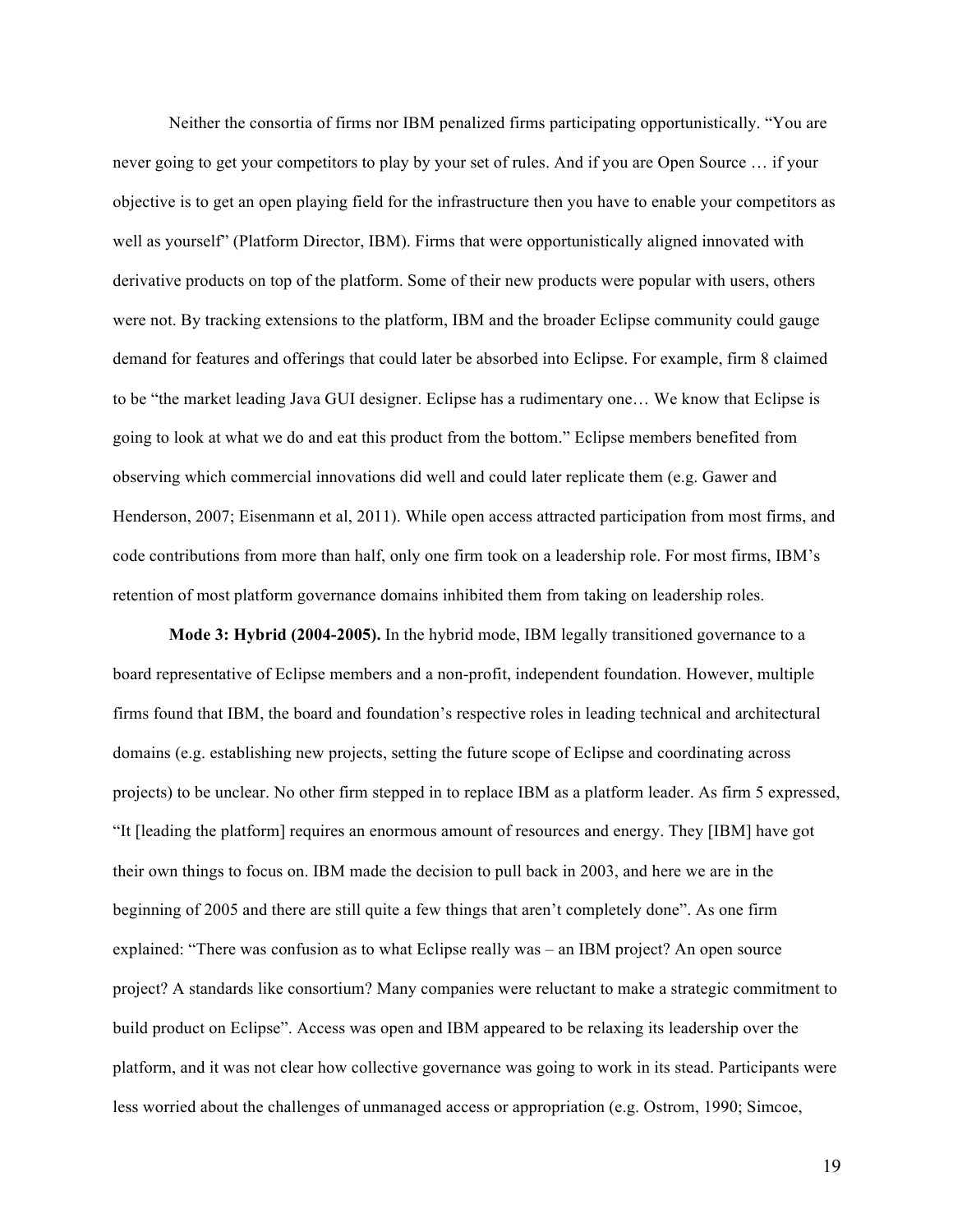Neither the consortia of firms nor IBM penalized firms participating opportunistically. "You are never going to get your competitors to play by your set of rules. And if you are Open Source … if your objective is to get an open playing field for the infrastructure then you have to enable your competitors as well as yourself" (Platform Director, IBM). Firms that were opportunistically aligned innovated with derivative products on top of the platform. Some of their new products were popular with users, others were not. By tracking extensions to the platform, IBM and the broader Eclipse community could gauge demand for features and offerings that could later be absorbed into Eclipse. For example, firm 8 claimed to be "the market leading Java GUI designer. Eclipse has a rudimentary one… We know that Eclipse is going to look at what we do and eat this product from the bottom." Eclipse members benefited from observing which commercial innovations did well and could later replicate them (e.g. Gawer and Henderson, 2007; Eisenmann et al, 2011). While open access attracted participation from most firms, and code contributions from more than half, only one firm took on a leadership role. For most firms, IBM's retention of most platform governance domains inhibited them from taking on leadership roles.

**Mode 3: Hybrid (2004-2005).** In the hybrid mode, IBM legally transitioned governance to a board representative of Eclipse members and a non-profit, independent foundation. However, multiple firms found that IBM, the board and foundation's respective roles in leading technical and architectural domains (e.g. establishing new projects, setting the future scope of Eclipse and coordinating across projects) to be unclear. No other firm stepped in to replace IBM as a platform leader. As firm 5 expressed, "It [leading the platform] requires an enormous amount of resources and energy. They [IBM] have got their own things to focus on. IBM made the decision to pull back in 2003, and here we are in the beginning of 2005 and there are still quite a few things that aren't completely done". As one firm explained: "There was confusion as to what Eclipse really was – an IBM project? An open source project? A standards like consortium? Many companies were reluctant to make a strategic commitment to build product on Eclipse". Access was open and IBM appeared to be relaxing its leadership over the platform, and it was not clear how collective governance was going to work in its stead. Participants were less worried about the challenges of unmanaged access or appropriation (e.g. Ostrom, 1990; Simcoe,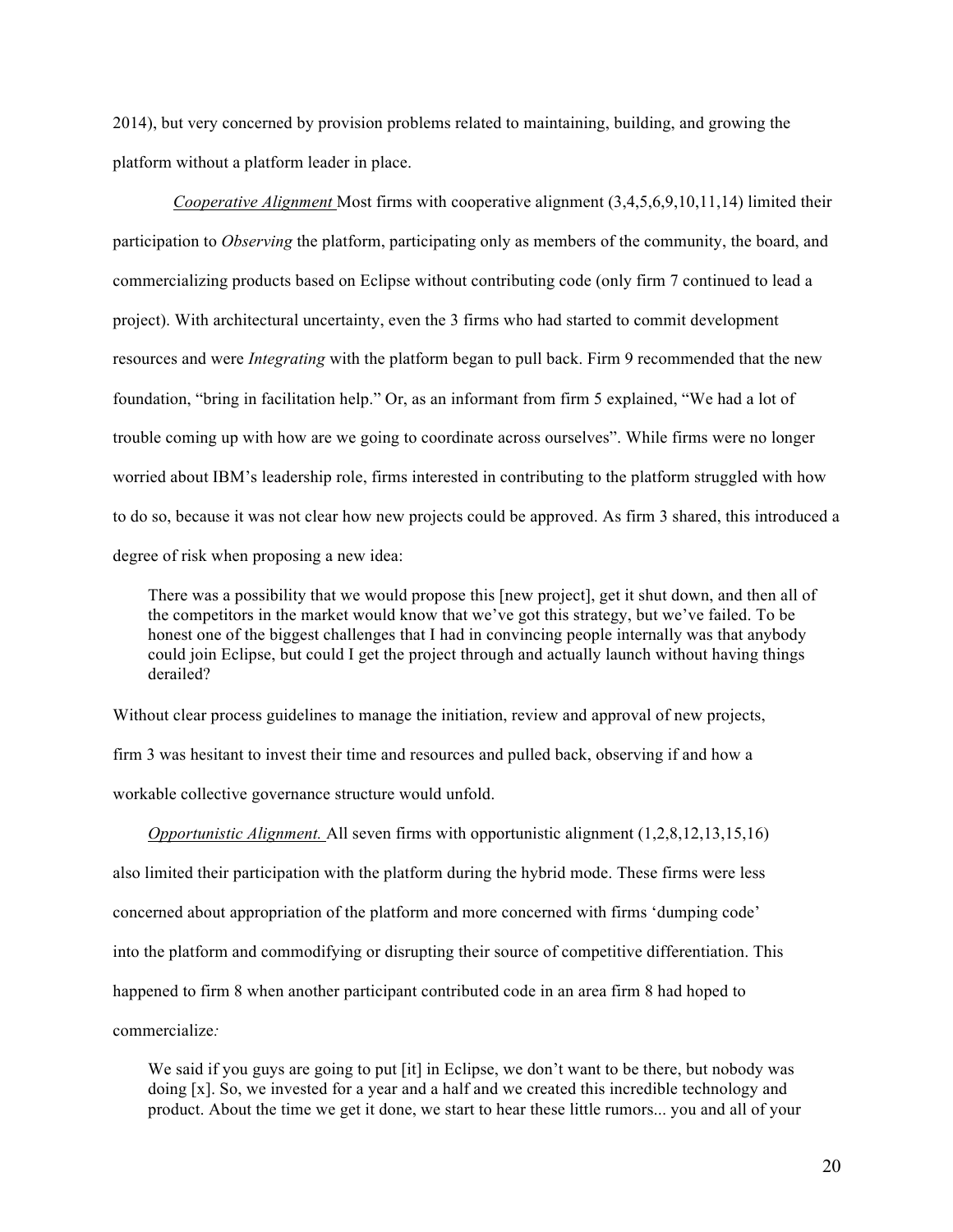2014), but very concerned by provision problems related to maintaining, building, and growing the platform without a platform leader in place.

*Cooperative Alignment* Most firms with cooperative alignment  $(3,4,5,6,9,10,11,14)$  limited their participation to *Observing* the platform, participating only as members of the community, the board, and commercializing products based on Eclipse without contributing code (only firm 7 continued to lead a project). With architectural uncertainty, even the 3 firms who had started to commit development resources and were *Integrating* with the platform began to pull back. Firm 9 recommended that the new foundation, "bring in facilitation help." Or, as an informant from firm 5 explained, "We had a lot of trouble coming up with how are we going to coordinate across ourselves". While firms were no longer worried about IBM's leadership role, firms interested in contributing to the platform struggled with how to do so, because it was not clear how new projects could be approved. As firm 3 shared, this introduced a degree of risk when proposing a new idea:

There was a possibility that we would propose this [new project], get it shut down, and then all of the competitors in the market would know that we've got this strategy, but we've failed. To be honest one of the biggest challenges that I had in convincing people internally was that anybody could join Eclipse, but could I get the project through and actually launch without having things derailed?

Without clear process guidelines to manage the initiation, review and approval of new projects,

firm 3 was hesitant to invest their time and resources and pulled back, observing if and how a

workable collective governance structure would unfold.

*Opportunistic Alignment.* All seven firms with opportunistic alignment (1,2,8,12,13,15,16) also limited their participation with the platform during the hybrid mode. These firms were less concerned about appropriation of the platform and more concerned with firms 'dumping code' into the platform and commodifying or disrupting their source of competitive differentiation. This happened to firm 8 when another participant contributed code in an area firm 8 had hoped to commercialize*:*

We said if you guys are going to put [it] in Eclipse, we don't want to be there, but nobody was doing [x]. So, we invested for a year and a half and we created this incredible technology and product. About the time we get it done, we start to hear these little rumors... you and all of your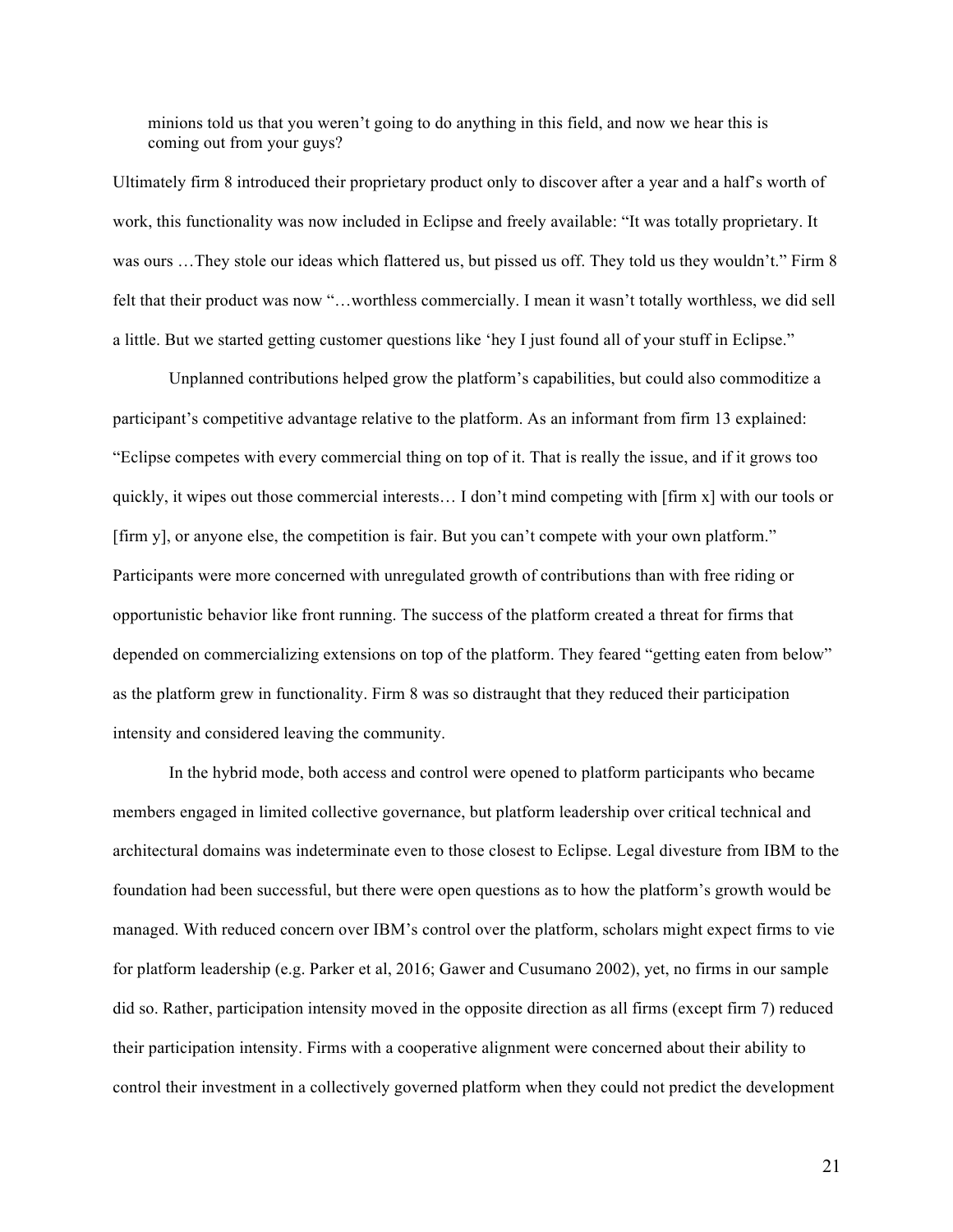minions told us that you weren't going to do anything in this field, and now we hear this is coming out from your guys?

Ultimately firm 8 introduced their proprietary product only to discover after a year and a half's worth of work, this functionality was now included in Eclipse and freely available: "It was totally proprietary. It was ours ... They stole our ideas which flattered us, but pissed us off. They told us they wouldn't." Firm 8 felt that their product was now "…worthless commercially. I mean it wasn't totally worthless, we did sell a little. But we started getting customer questions like 'hey I just found all of your stuff in Eclipse."

Unplanned contributions helped grow the platform's capabilities, but could also commoditize a participant's competitive advantage relative to the platform. As an informant from firm 13 explained: "Eclipse competes with every commercial thing on top of it. That is really the issue, and if it grows too quickly, it wipes out those commercial interests… I don't mind competing with [firm x] with our tools or [firm y], or anyone else, the competition is fair. But you can't compete with your own platform." Participants were more concerned with unregulated growth of contributions than with free riding or opportunistic behavior like front running. The success of the platform created a threat for firms that depended on commercializing extensions on top of the platform. They feared "getting eaten from below" as the platform grew in functionality. Firm 8 was so distraught that they reduced their participation intensity and considered leaving the community.

In the hybrid mode, both access and control were opened to platform participants who became members engaged in limited collective governance, but platform leadership over critical technical and architectural domains was indeterminate even to those closest to Eclipse. Legal divesture from IBM to the foundation had been successful, but there were open questions as to how the platform's growth would be managed. With reduced concern over IBM's control over the platform, scholars might expect firms to vie for platform leadership (e.g. Parker et al, 2016; Gawer and Cusumano 2002), yet, no firms in our sample did so. Rather, participation intensity moved in the opposite direction as all firms (except firm 7) reduced their participation intensity. Firms with a cooperative alignment were concerned about their ability to control their investment in a collectively governed platform when they could not predict the development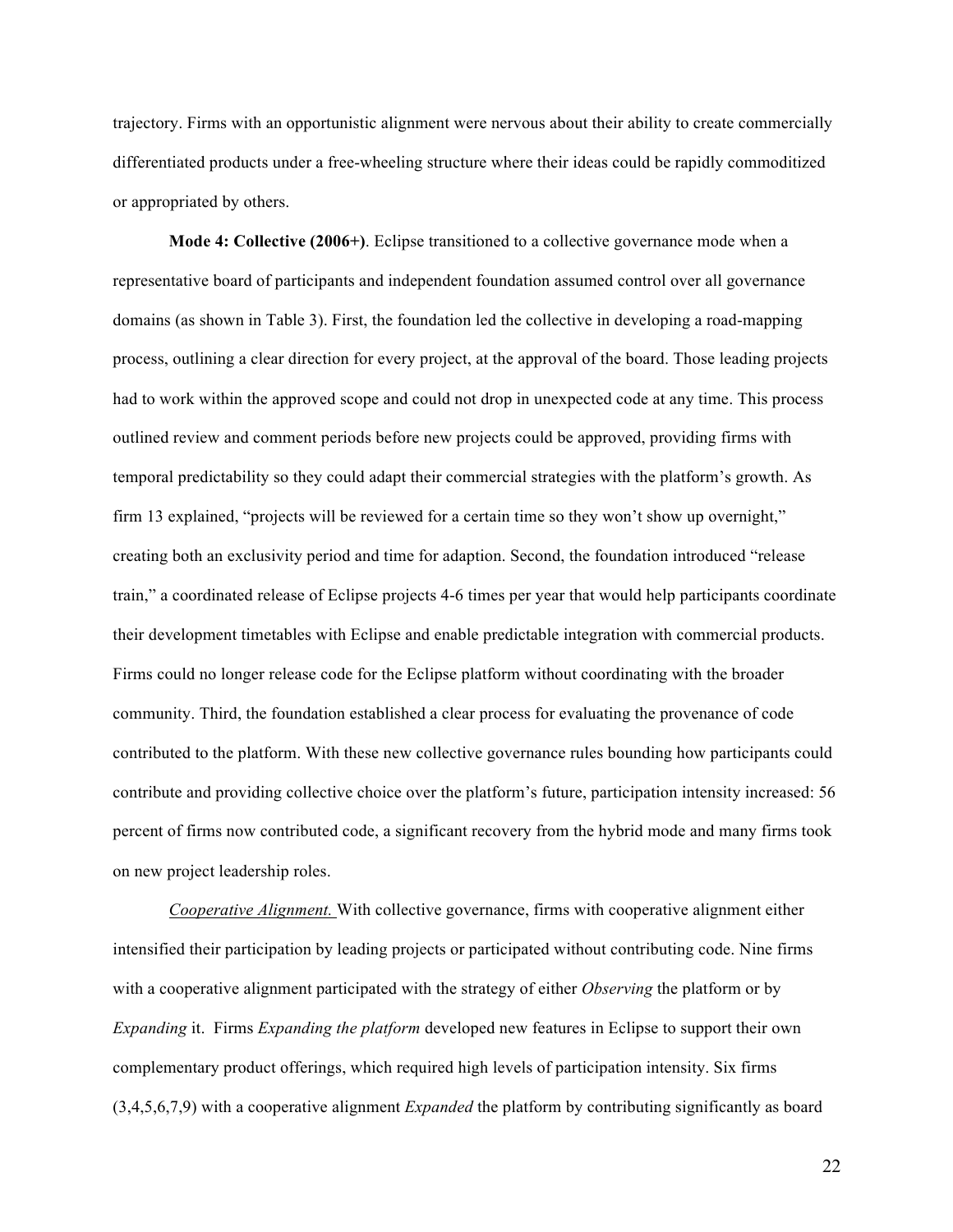trajectory. Firms with an opportunistic alignment were nervous about their ability to create commercially differentiated products under a free-wheeling structure where their ideas could be rapidly commoditized or appropriated by others.

**Mode 4: Collective (2006+)**. Eclipse transitioned to a collective governance mode when a representative board of participants and independent foundation assumed control over all governance domains (as shown in Table 3). First, the foundation led the collective in developing a road-mapping process, outlining a clear direction for every project, at the approval of the board. Those leading projects had to work within the approved scope and could not drop in unexpected code at any time. This process outlined review and comment periods before new projects could be approved, providing firms with temporal predictability so they could adapt their commercial strategies with the platform's growth. As firm 13 explained, "projects will be reviewed for a certain time so they won't show up overnight," creating both an exclusivity period and time for adaption. Second, the foundation introduced "release train," a coordinated release of Eclipse projects 4-6 times per year that would help participants coordinate their development timetables with Eclipse and enable predictable integration with commercial products. Firms could no longer release code for the Eclipse platform without coordinating with the broader community. Third, the foundation established a clear process for evaluating the provenance of code contributed to the platform. With these new collective governance rules bounding how participants could contribute and providing collective choice over the platform's future, participation intensity increased: 56 percent of firms now contributed code, a significant recovery from the hybrid mode and many firms took on new project leadership roles.

*Cooperative Alignment.* With collective governance, firms with cooperative alignment either intensified their participation by leading projects or participated without contributing code. Nine firms with a cooperative alignment participated with the strategy of either *Observing* the platform or by *Expanding* it. Firms *Expanding the platform* developed new features in Eclipse to support their own complementary product offerings, which required high levels of participation intensity. Six firms (3,4,5,6,7,9) with a cooperative alignment *Expanded* the platform by contributing significantly as board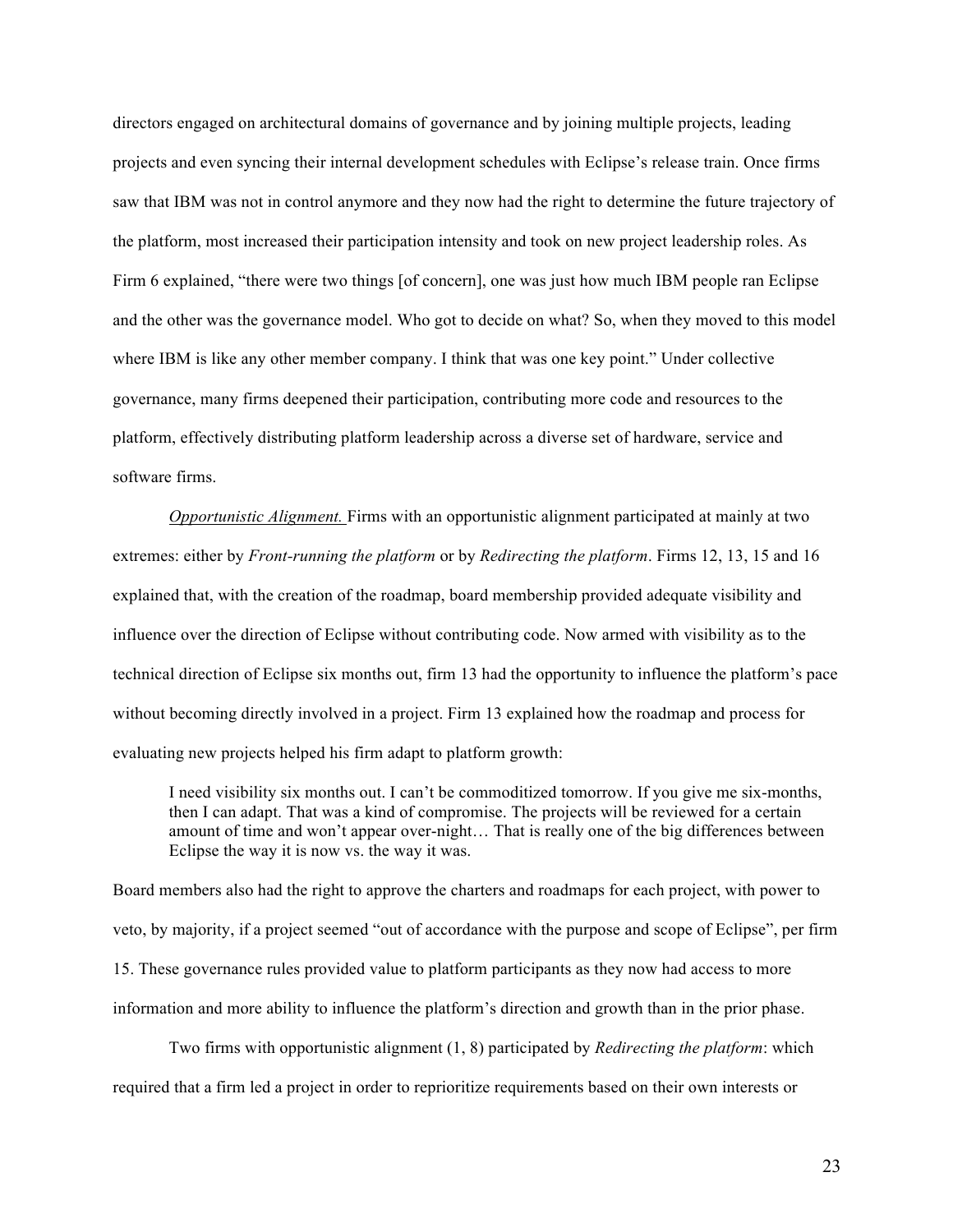directors engaged on architectural domains of governance and by joining multiple projects, leading projects and even syncing their internal development schedules with Eclipse's release train. Once firms saw that IBM was not in control anymore and they now had the right to determine the future trajectory of the platform, most increased their participation intensity and took on new project leadership roles. As Firm 6 explained, "there were two things [of concern], one was just how much IBM people ran Eclipse and the other was the governance model. Who got to decide on what? So, when they moved to this model where IBM is like any other member company. I think that was one key point." Under collective governance, many firms deepened their participation, contributing more code and resources to the platform, effectively distributing platform leadership across a diverse set of hardware, service and software firms.

*Opportunistic Alignment.* Firms with an opportunistic alignment participated at mainly at two extremes: either by *Front-running the platform* or by *Redirecting the platform*. Firms 12, 13, 15 and 16 explained that, with the creation of the roadmap, board membership provided adequate visibility and influence over the direction of Eclipse without contributing code. Now armed with visibility as to the technical direction of Eclipse six months out, firm 13 had the opportunity to influence the platform's pace without becoming directly involved in a project. Firm 13 explained how the roadmap and process for evaluating new projects helped his firm adapt to platform growth:

I need visibility six months out. I can't be commoditized tomorrow. If you give me six-months, then I can adapt. That was a kind of compromise. The projects will be reviewed for a certain amount of time and won't appear over-night… That is really one of the big differences between Eclipse the way it is now vs. the way it was.

Board members also had the right to approve the charters and roadmaps for each project, with power to veto, by majority, if a project seemed "out of accordance with the purpose and scope of Eclipse", per firm 15. These governance rules provided value to platform participants as they now had access to more information and more ability to influence the platform's direction and growth than in the prior phase.

Two firms with opportunistic alignment (1, 8) participated by *Redirecting the platform*: which required that a firm led a project in order to reprioritize requirements based on their own interests or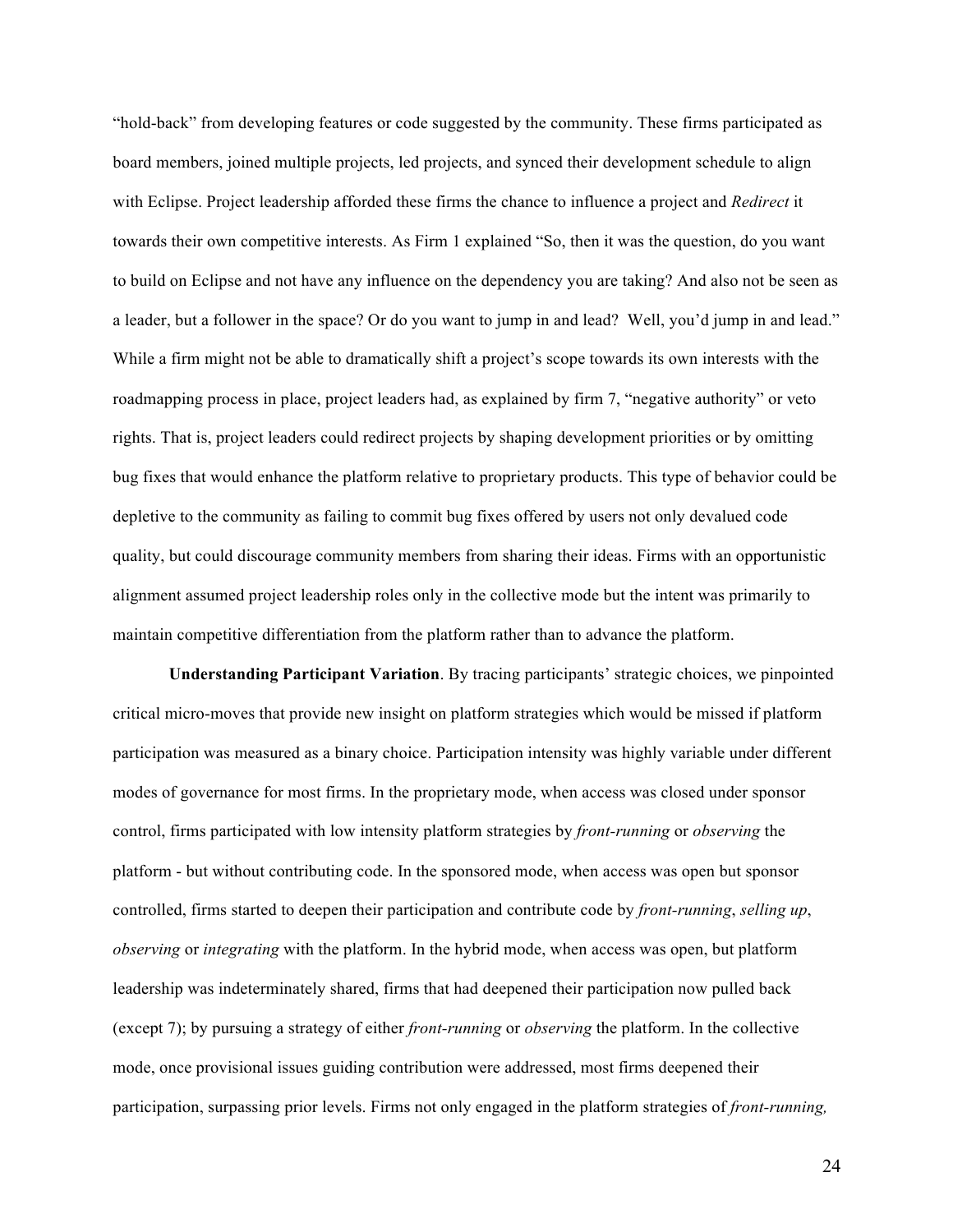"hold-back" from developing features or code suggested by the community. These firms participated as board members, joined multiple projects, led projects, and synced their development schedule to align with Eclipse. Project leadership afforded these firms the chance to influence a project and *Redirect* it towards their own competitive interests. As Firm 1 explained "So, then it was the question, do you want to build on Eclipse and not have any influence on the dependency you are taking? And also not be seen as a leader, but a follower in the space? Or do you want to jump in and lead? Well, you'd jump in and lead." While a firm might not be able to dramatically shift a project's scope towards its own interests with the roadmapping process in place, project leaders had, as explained by firm 7, "negative authority" or veto rights. That is, project leaders could redirect projects by shaping development priorities or by omitting bug fixes that would enhance the platform relative to proprietary products. This type of behavior could be depletive to the community as failing to commit bug fixes offered by users not only devalued code quality, but could discourage community members from sharing their ideas. Firms with an opportunistic alignment assumed project leadership roles only in the collective mode but the intent was primarily to maintain competitive differentiation from the platform rather than to advance the platform.

**Understanding Participant Variation**. By tracing participants' strategic choices, we pinpointed critical micro-moves that provide new insight on platform strategies which would be missed if platform participation was measured as a binary choice. Participation intensity was highly variable under different modes of governance for most firms. In the proprietary mode, when access was closed under sponsor control, firms participated with low intensity platform strategies by *front-running* or *observing* the platform - but without contributing code. In the sponsored mode, when access was open but sponsor controlled, firms started to deepen their participation and contribute code by *front-running*, *selling up*, *observing* or *integrating* with the platform. In the hybrid mode, when access was open, but platform leadership was indeterminately shared, firms that had deepened their participation now pulled back (except 7); by pursuing a strategy of either *front-running* or *observing* the platform. In the collective mode, once provisional issues guiding contribution were addressed, most firms deepened their participation, surpassing prior levels. Firms not only engaged in the platform strategies of *front-running,*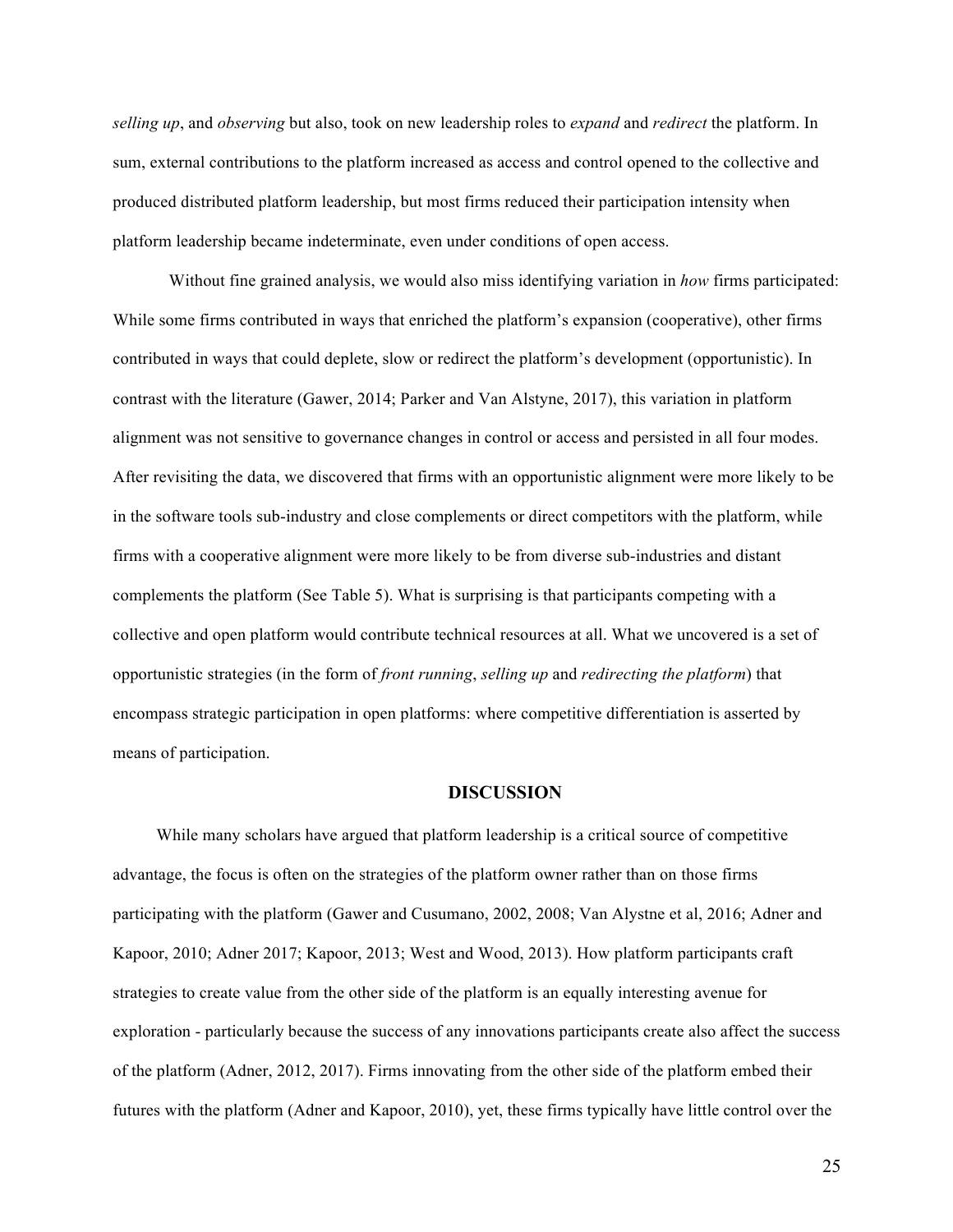*selling up*, and *observing* but also, took on new leadership roles to *expand* and *redirect* the platform. In sum, external contributions to the platform increased as access and control opened to the collective and produced distributed platform leadership, but most firms reduced their participation intensity when platform leadership became indeterminate, even under conditions of open access.

Without fine grained analysis, we would also miss identifying variation in *how* firms participated: While some firms contributed in ways that enriched the platform's expansion (cooperative), other firms contributed in ways that could deplete, slow or redirect the platform's development (opportunistic). In contrast with the literature (Gawer, 2014; Parker and Van Alstyne, 2017), this variation in platform alignment was not sensitive to governance changes in control or access and persisted in all four modes. After revisiting the data, we discovered that firms with an opportunistic alignment were more likely to be in the software tools sub-industry and close complements or direct competitors with the platform, while firms with a cooperative alignment were more likely to be from diverse sub-industries and distant complements the platform (See Table 5). What is surprising is that participants competing with a collective and open platform would contribute technical resources at all. What we uncovered is a set of opportunistic strategies (in the form of *front running*, *selling up* and *redirecting the platform*) that encompass strategic participation in open platforms: where competitive differentiation is asserted by means of participation.

#### **DISCUSSION**

While many scholars have argued that platform leadership is a critical source of competitive advantage, the focus is often on the strategies of the platform owner rather than on those firms participating with the platform (Gawer and Cusumano, 2002, 2008; Van Alystne et al, 2016; Adner and Kapoor, 2010; Adner 2017; Kapoor, 2013; West and Wood, 2013). How platform participants craft strategies to create value from the other side of the platform is an equally interesting avenue for exploration - particularly because the success of any innovations participants create also affect the success of the platform (Adner, 2012, 2017). Firms innovating from the other side of the platform embed their futures with the platform (Adner and Kapoor, 2010), yet, these firms typically have little control over the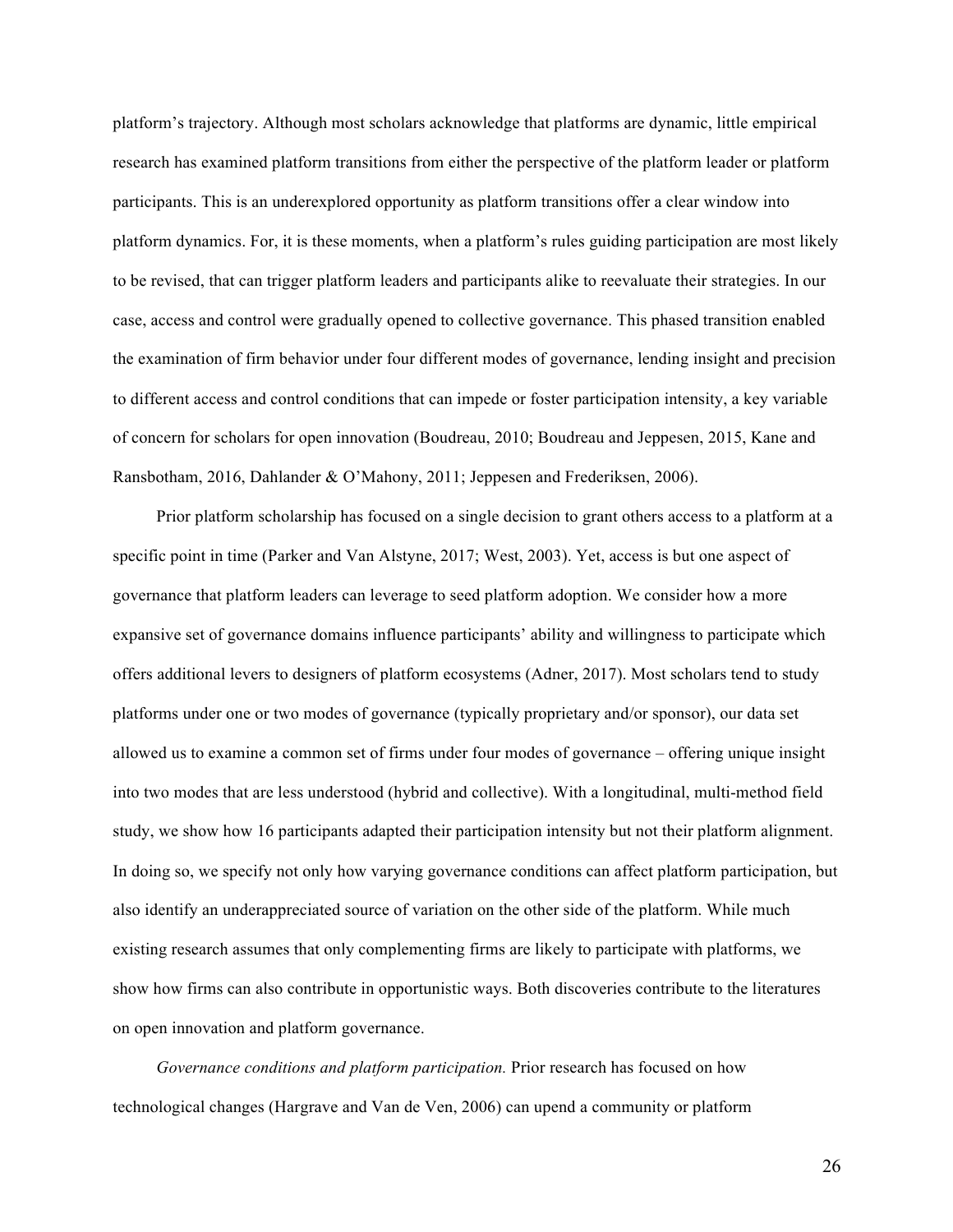platform's trajectory. Although most scholars acknowledge that platforms are dynamic, little empirical research has examined platform transitions from either the perspective of the platform leader or platform participants. This is an underexplored opportunity as platform transitions offer a clear window into platform dynamics. For, it is these moments, when a platform's rules guiding participation are most likely to be revised, that can trigger platform leaders and participants alike to reevaluate their strategies. In our case, access and control were gradually opened to collective governance. This phased transition enabled the examination of firm behavior under four different modes of governance, lending insight and precision to different access and control conditions that can impede or foster participation intensity, a key variable of concern for scholars for open innovation (Boudreau, 2010; Boudreau and Jeppesen, 2015, Kane and Ransbotham, 2016, Dahlander & O'Mahony, 2011; Jeppesen and Frederiksen, 2006).

Prior platform scholarship has focused on a single decision to grant others access to a platform at a specific point in time (Parker and Van Alstyne, 2017; West, 2003). Yet, access is but one aspect of governance that platform leaders can leverage to seed platform adoption. We consider how a more expansive set of governance domains influence participants' ability and willingness to participate which offers additional levers to designers of platform ecosystems (Adner, 2017). Most scholars tend to study platforms under one or two modes of governance (typically proprietary and/or sponsor), our data set allowed us to examine a common set of firms under four modes of governance – offering unique insight into two modes that are less understood (hybrid and collective). With a longitudinal, multi-method field study, we show how 16 participants adapted their participation intensity but not their platform alignment. In doing so, we specify not only how varying governance conditions can affect platform participation, but also identify an underappreciated source of variation on the other side of the platform. While much existing research assumes that only complementing firms are likely to participate with platforms, we show how firms can also contribute in opportunistic ways. Both discoveries contribute to the literatures on open innovation and platform governance.

*Governance conditions and platform participation.* Prior research has focused on how technological changes (Hargrave and Van de Ven, 2006) can upend a community or platform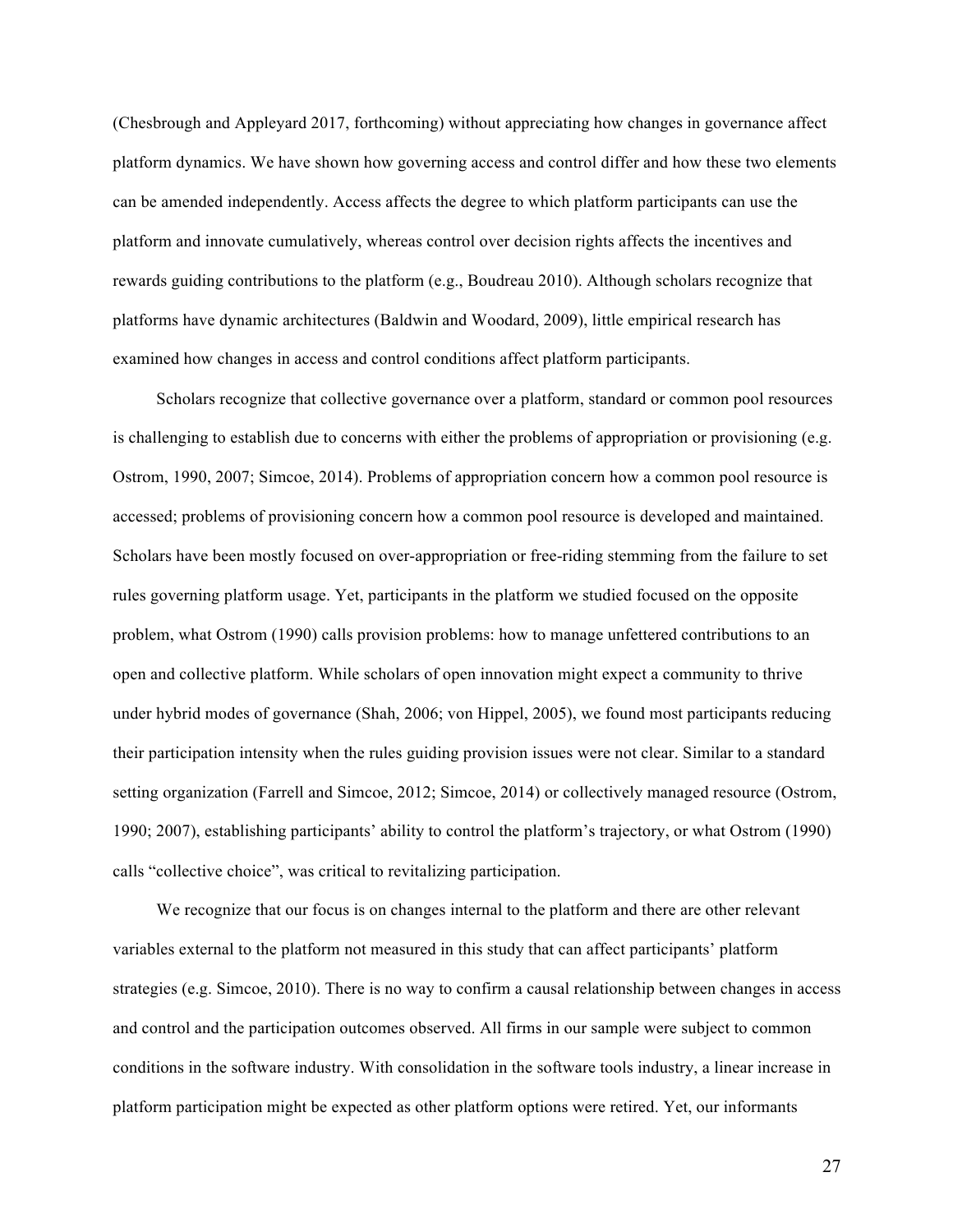(Chesbrough and Appleyard 2017, forthcoming) without appreciating how changes in governance affect platform dynamics. We have shown how governing access and control differ and how these two elements can be amended independently. Access affects the degree to which platform participants can use the platform and innovate cumulatively, whereas control over decision rights affects the incentives and rewards guiding contributions to the platform (e.g., Boudreau 2010). Although scholars recognize that platforms have dynamic architectures (Baldwin and Woodard, 2009), little empirical research has examined how changes in access and control conditions affect platform participants.

Scholars recognize that collective governance over a platform, standard or common pool resources is challenging to establish due to concerns with either the problems of appropriation or provisioning (e.g. Ostrom, 1990, 2007; Simcoe, 2014). Problems of appropriation concern how a common pool resource is accessed; problems of provisioning concern how a common pool resource is developed and maintained. Scholars have been mostly focused on over-appropriation or free-riding stemming from the failure to set rules governing platform usage. Yet, participants in the platform we studied focused on the opposite problem, what Ostrom (1990) calls provision problems: how to manage unfettered contributions to an open and collective platform. While scholars of open innovation might expect a community to thrive under hybrid modes of governance (Shah, 2006; von Hippel, 2005), we found most participants reducing their participation intensity when the rules guiding provision issues were not clear. Similar to a standard setting organization (Farrell and Simcoe, 2012; Simcoe, 2014) or collectively managed resource (Ostrom, 1990; 2007), establishing participants' ability to control the platform's trajectory, or what Ostrom (1990) calls "collective choice", was critical to revitalizing participation.

We recognize that our focus is on changes internal to the platform and there are other relevant variables external to the platform not measured in this study that can affect participants' platform strategies (e.g. Simcoe, 2010). There is no way to confirm a causal relationship between changes in access and control and the participation outcomes observed. All firms in our sample were subject to common conditions in the software industry. With consolidation in the software tools industry, a linear increase in platform participation might be expected as other platform options were retired. Yet, our informants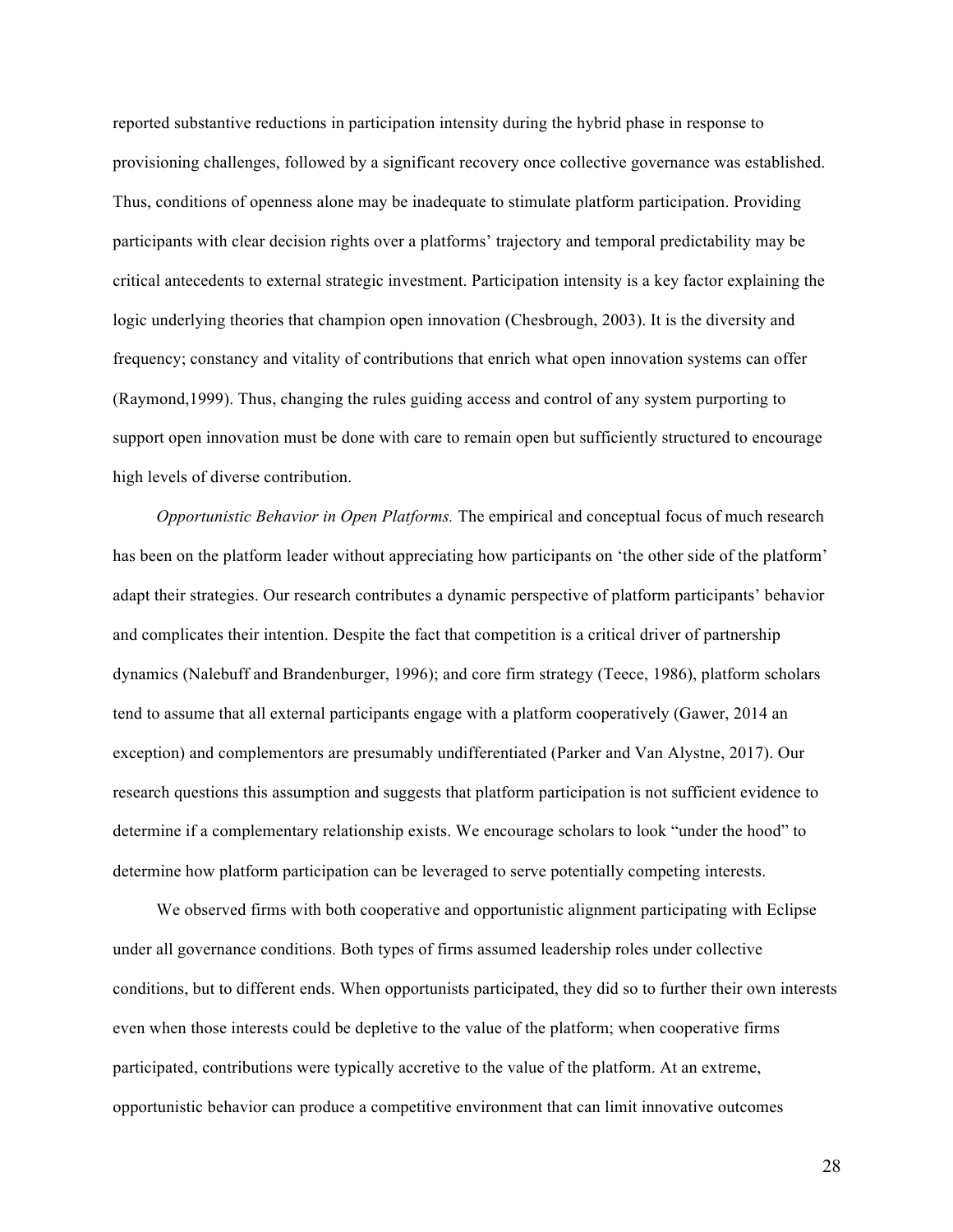reported substantive reductions in participation intensity during the hybrid phase in response to provisioning challenges, followed by a significant recovery once collective governance was established. Thus, conditions of openness alone may be inadequate to stimulate platform participation. Providing participants with clear decision rights over a platforms' trajectory and temporal predictability may be critical antecedents to external strategic investment. Participation intensity is a key factor explaining the logic underlying theories that champion open innovation (Chesbrough, 2003). It is the diversity and frequency; constancy and vitality of contributions that enrich what open innovation systems can offer (Raymond,1999). Thus, changing the rules guiding access and control of any system purporting to support open innovation must be done with care to remain open but sufficiently structured to encourage high levels of diverse contribution.

*Opportunistic Behavior in Open Platforms.* The empirical and conceptual focus of much research has been on the platform leader without appreciating how participants on 'the other side of the platform' adapt their strategies. Our research contributes a dynamic perspective of platform participants' behavior and complicates their intention. Despite the fact that competition is a critical driver of partnership dynamics (Nalebuff and Brandenburger, 1996); and core firm strategy (Teece, 1986), platform scholars tend to assume that all external participants engage with a platform cooperatively (Gawer, 2014 an exception) and complementors are presumably undifferentiated (Parker and Van Alystne, 2017). Our research questions this assumption and suggests that platform participation is not sufficient evidence to determine if a complementary relationship exists. We encourage scholars to look "under the hood" to determine how platform participation can be leveraged to serve potentially competing interests.

We observed firms with both cooperative and opportunistic alignment participating with Eclipse under all governance conditions. Both types of firms assumed leadership roles under collective conditions, but to different ends. When opportunists participated, they did so to further their own interests even when those interests could be depletive to the value of the platform; when cooperative firms participated, contributions were typically accretive to the value of the platform. At an extreme, opportunistic behavior can produce a competitive environment that can limit innovative outcomes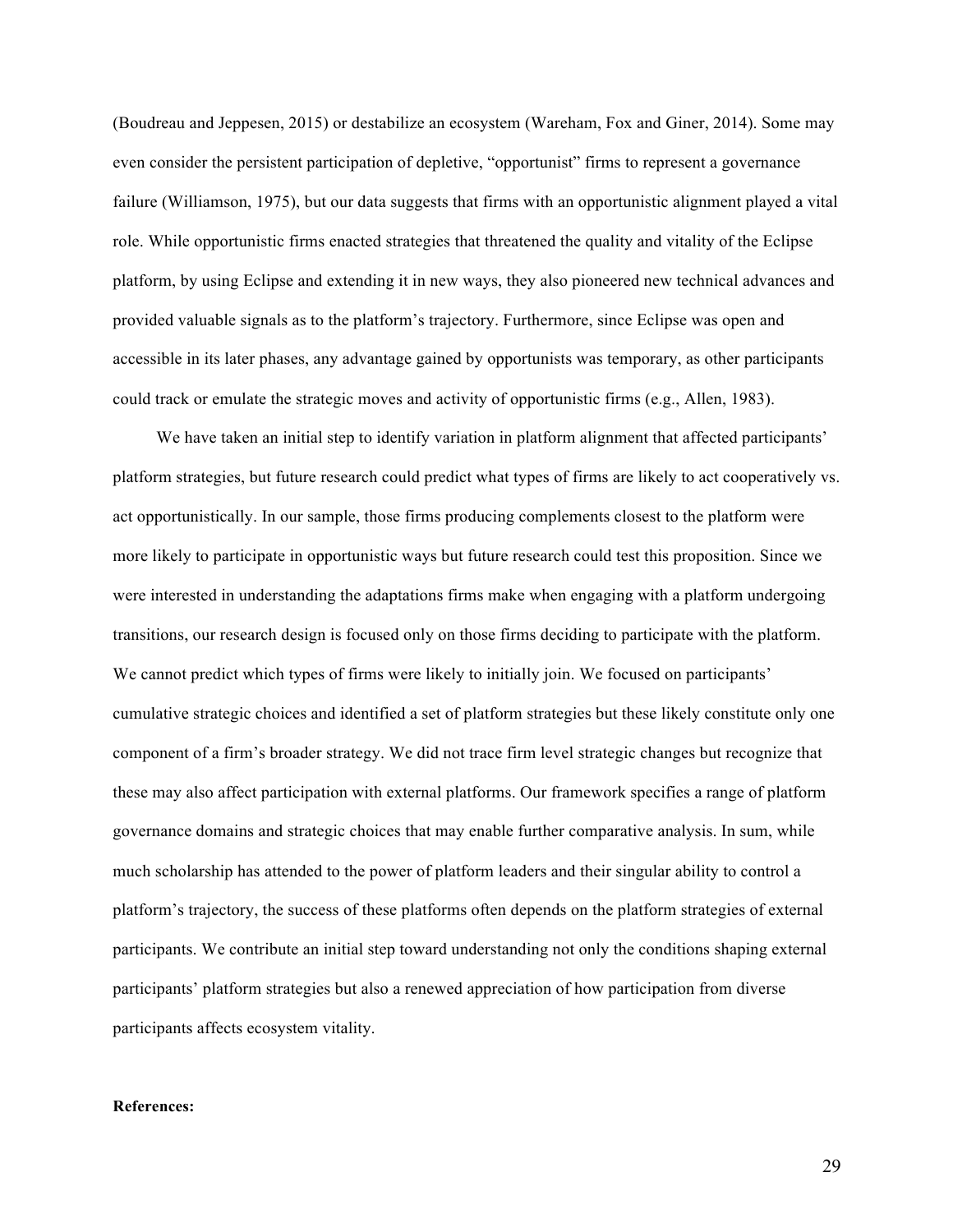(Boudreau and Jeppesen, 2015) or destabilize an ecosystem (Wareham, Fox and Giner, 2014). Some may even consider the persistent participation of depletive, "opportunist" firms to represent a governance failure (Williamson, 1975), but our data suggests that firms with an opportunistic alignment played a vital role. While opportunistic firms enacted strategies that threatened the quality and vitality of the Eclipse platform, by using Eclipse and extending it in new ways, they also pioneered new technical advances and provided valuable signals as to the platform's trajectory. Furthermore, since Eclipse was open and accessible in its later phases, any advantage gained by opportunists was temporary, as other participants could track or emulate the strategic moves and activity of opportunistic firms (e.g., Allen, 1983).

We have taken an initial step to identify variation in platform alignment that affected participants' platform strategies, but future research could predict what types of firms are likely to act cooperatively vs. act opportunistically. In our sample, those firms producing complements closest to the platform were more likely to participate in opportunistic ways but future research could test this proposition. Since we were interested in understanding the adaptations firms make when engaging with a platform undergoing transitions, our research design is focused only on those firms deciding to participate with the platform. We cannot predict which types of firms were likely to initially join. We focused on participants' cumulative strategic choices and identified a set of platform strategies but these likely constitute only one component of a firm's broader strategy. We did not trace firm level strategic changes but recognize that these may also affect participation with external platforms. Our framework specifies a range of platform governance domains and strategic choices that may enable further comparative analysis. In sum, while much scholarship has attended to the power of platform leaders and their singular ability to control a platform's trajectory, the success of these platforms often depends on the platform strategies of external participants. We contribute an initial step toward understanding not only the conditions shaping external participants' platform strategies but also a renewed appreciation of how participation from diverse participants affects ecosystem vitality.

#### **References:**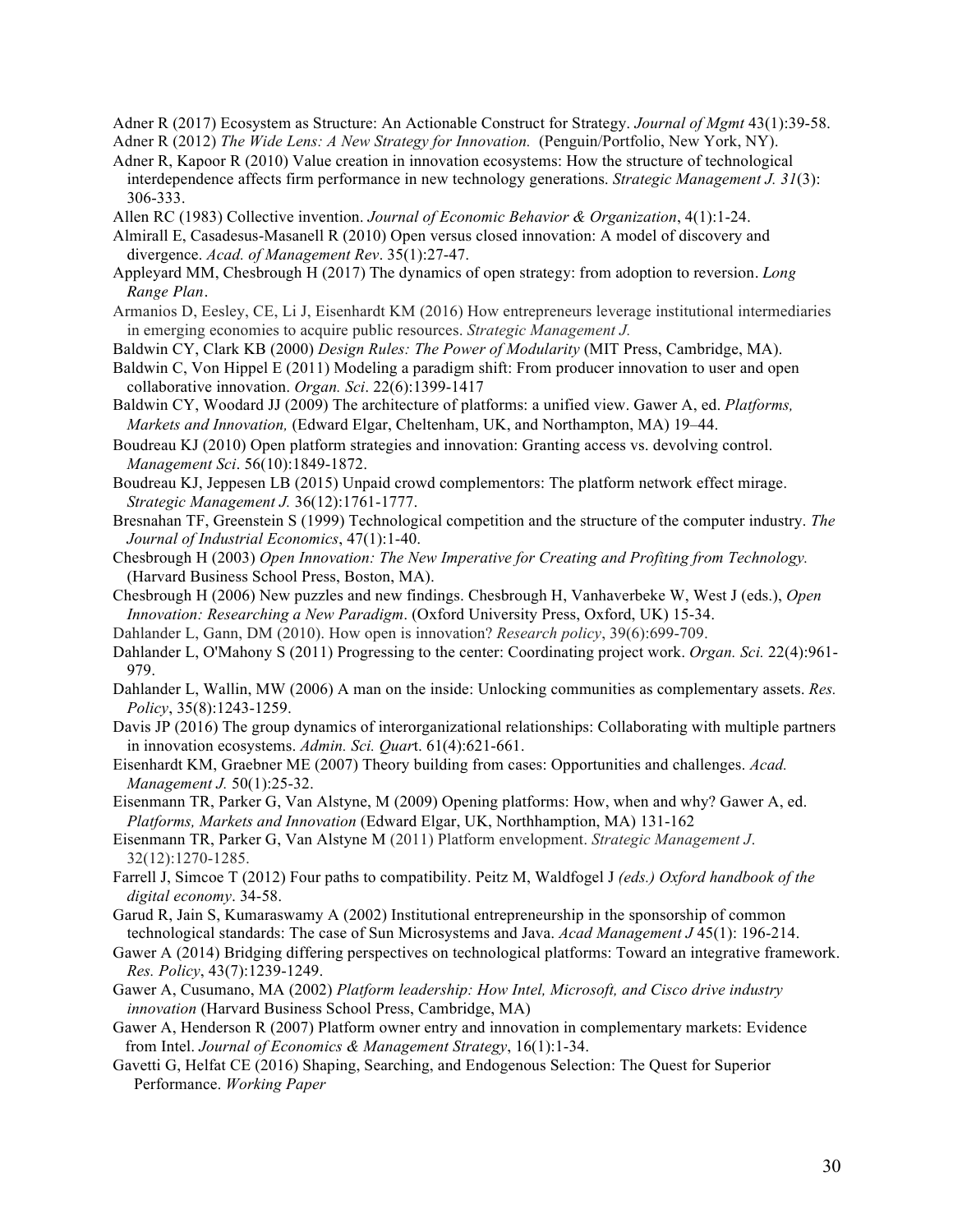Adner R (2017) Ecosystem as Structure: An Actionable Construct for Strategy. *Journal of Mgmt* 43(1):39-58.

- Adner R (2012) *The Wide Lens: A New Strategy for Innovation.* (Penguin/Portfolio, New York, NY).
- Adner R, Kapoor R (2010) Value creation in innovation ecosystems: How the structure of technological interdependence affects firm performance in new technology generations. *Strategic Management J. 31*(3): 306-333.
- Allen RC (1983) Collective invention. *Journal of Economic Behavior & Organization*, 4(1):1-24.
- Almirall E, Casadesus-Masanell R (2010) Open versus closed innovation: A model of discovery and divergence. *Acad. of Management Rev*. 35(1):27-47.
- Appleyard MM, Chesbrough H (2017) The dynamics of open strategy: from adoption to reversion. *Long Range Plan.*
- Armanios D, Eesley, CE, Li J, Eisenhardt KM (2016) How entrepreneurs leverage institutional intermediaries in emerging economies to acquire public resources. *Strategic Management J.*
- Baldwin CY, Clark KB (2000) *Design Rules: The Power of Modularity* (MIT Press, Cambridge, MA).
- Baldwin C, Von Hippel E (2011) Modeling a paradigm shift: From producer innovation to user and open collaborative innovation. *Organ. Sci*. 22(6):1399-1417
- Baldwin CY, Woodard JJ (2009) The architecture of platforms: a unified view. Gawer A, ed. *Platforms, Markets and Innovation,* (Edward Elgar, Cheltenham, UK, and Northampton, MA) 19–44.
- Boudreau KJ (2010) Open platform strategies and innovation: Granting access vs. devolving control. *Management Sci*. 56(10):1849-1872.
- Boudreau KJ, Jeppesen LB (2015) Unpaid crowd complementors: The platform network effect mirage. *Strategic Management J.* 36(12):1761-1777.
- Bresnahan TF, Greenstein S (1999) Technological competition and the structure of the computer industry. *The Journal of Industrial Economics*, 47(1):1-40.
- Chesbrough H (2003) *Open Innovation: The New Imperative for Creating and Profiting from Technology.* (Harvard Business School Press, Boston, MA).
- Chesbrough H (2006) New puzzles and new findings. Chesbrough H, Vanhaverbeke W, West J (eds.), *Open Innovation: Researching a New Paradigm*. (Oxford University Press, Oxford, UK) 15-34.
- Dahlander L, Gann, DM (2010). How open is innovation? *Research policy*, 39(6):699-709.
- Dahlander L, O'Mahony S (2011) Progressing to the center: Coordinating project work. *Organ. Sci.* 22(4):961- 979.
- Dahlander L, Wallin, MW (2006) A man on the inside: Unlocking communities as complementary assets. *Res. Policy*, 35(8):1243-1259.
- Davis JP (2016) The group dynamics of interorganizational relationships: Collaborating with multiple partners in innovation ecosystems. *Admin. Sci. Quar*t. 61(4):621-661.
- Eisenhardt KM, Graebner ME (2007) Theory building from cases: Opportunities and challenges. *Acad. Management J.* 50(1):25-32.
- Eisenmann TR, Parker G, Van Alstyne, M (2009) Opening platforms: How, when and why? Gawer A, ed. *Platforms, Markets and Innovation* (Edward Elgar, UK, Northhamption, MA) 131-162
- Eisenmann TR, Parker G, Van Alstyne M (2011) Platform envelopment. *Strategic Management J*. 32(12):1270-1285.
- Farrell J, Simcoe T (2012) Four paths to compatibility. Peitz M, Waldfogel J *(eds.) Oxford handbook of the digital economy*. 34-58.
- Garud R, Jain S, Kumaraswamy A (2002) Institutional entrepreneurship in the sponsorship of common technological standards: The case of Sun Microsystems and Java. *Acad Management J* 45(1): 196-214.
- Gawer A (2014) Bridging differing perspectives on technological platforms: Toward an integrative framework. *Res. Policy*, 43(7):1239-1249.
- Gawer A, Cusumano, MA (2002) *Platform leadership: How Intel, Microsoft, and Cisco drive industry innovation* (Harvard Business School Press, Cambridge, MA)
- Gawer A, Henderson R (2007) Platform owner entry and innovation in complementary markets: Evidence from Intel. *Journal of Economics & Management Strategy*, 16(1):1-34.
- Gavetti G, Helfat CE (2016) Shaping, Searching, and Endogenous Selection: The Quest for Superior Performance. *Working Paper*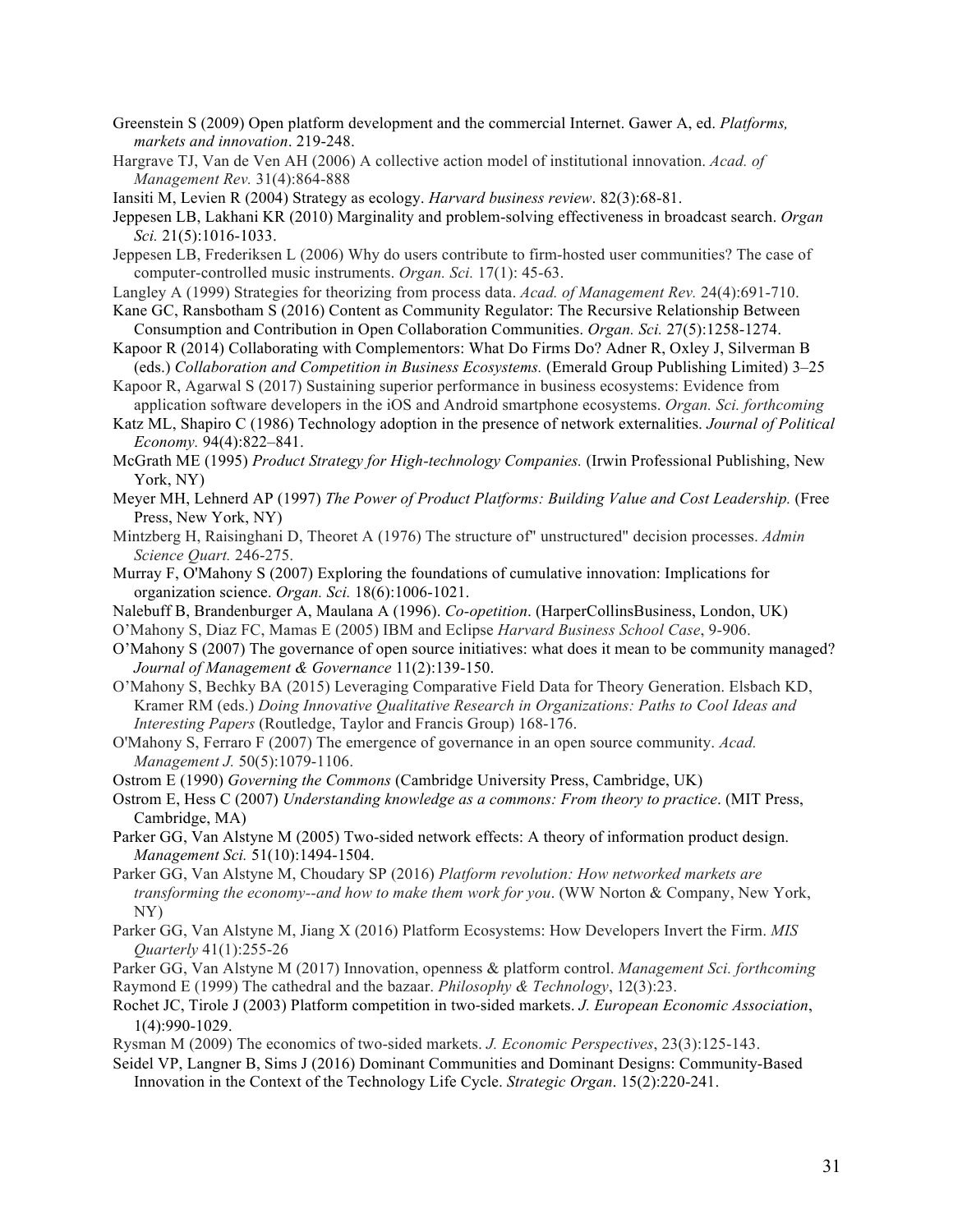- Greenstein S (2009) Open platform development and the commercial Internet. Gawer A, ed. *Platforms, markets and innovation*. 219-248.
- Hargrave TJ, Van de Ven AH (2006) A collective action model of institutional innovation. *Acad. of Management Rev.* 31(4):864-888
- Iansiti M, Levien R (2004) Strategy as ecology. *Harvard business review*. 82(3):68-81.
- Jeppesen LB, Lakhani KR (2010) Marginality and problem-solving effectiveness in broadcast search. *Organ Sci.* 21(5):1016-1033.
- Jeppesen LB, Frederiksen L (2006) Why do users contribute to firm-hosted user communities? The case of computer-controlled music instruments. *Organ. Sci.* 17(1): 45-63.
- Langley A (1999) Strategies for theorizing from process data. *Acad. of Management Rev.* 24(4):691-710.
- Kane GC, Ransbotham S (2016) Content as Community Regulator: The Recursive Relationship Between Consumption and Contribution in Open Collaboration Communities. *Organ. Sci.* 27(5):1258-1274.
- Kapoor R (2014) Collaborating with Complementors: What Do Firms Do? Adner R, Oxley J, Silverman B (eds.) *Collaboration and Competition in Business Ecosystems.* (Emerald Group Publishing Limited) 3–25
- Kapoor R, Agarwal S (2017) Sustaining superior performance in business ecosystems: Evidence from application software developers in the iOS and Android smartphone ecosystems. *Organ. Sci. forthcoming*
- Katz ML, Shapiro C (1986) Technology adoption in the presence of network externalities. *Journal of Political Economy.* 94(4):822–841.
- McGrath ME (1995) *Product Strategy for High-technology Companies.* (Irwin Professional Publishing, New York, NY)
- Meyer MH, Lehnerd AP (1997) *The Power of Product Platforms: Building Value and Cost Leadership.* (Free Press, New York, NY)
- Mintzberg H, Raisinghani D, Theoret A (1976) The structure of" unstructured" decision processes. *Admin Science Quart.* 246-275.
- Murray F, O'Mahony S (2007) Exploring the foundations of cumulative innovation: Implications for organization science. *Organ. Sci.* 18(6):1006-1021.
- Nalebuff B, Brandenburger A, Maulana A (1996). *Co-opetition*. (HarperCollinsBusiness, London, UK)
- O'Mahony S, Diaz FC, Mamas E (2005) IBM and Eclipse *Harvard Business School Case*, 9-906.
- O'Mahony S (2007) The governance of open source initiatives: what does it mean to be community managed? *Journal of Management & Governance* 11(2):139-150.
- O'Mahony S, Bechky BA (2015) Leveraging Comparative Field Data for Theory Generation. Elsbach KD, Kramer RM (eds.) *Doing Innovative Qualitative Research in Organizations: Paths to Cool Ideas and Interesting Papers* (Routledge, Taylor and Francis Group) 168-176.
- O'Mahony S, Ferraro F (2007) The emergence of governance in an open source community. *Acad. Management J.* 50(5):1079-1106.
- Ostrom E (1990) *Governing the Commons* (Cambridge University Press, Cambridge, UK)
- Ostrom E, Hess C (2007) *Understanding knowledge as a commons: From theory to practice*. (MIT Press, Cambridge, MA)
- Parker GG, Van Alstyne M (2005) Two-sided network effects: A theory of information product design. *Management Sci.* 51(10):1494-1504.
- Parker GG, Van Alstyne M, Choudary SP (2016) *Platform revolution: How networked markets are transforming the economy--and how to make them work for you*. (WW Norton & Company, New York, NY)
- Parker GG, Van Alstyne M, Jiang X (2016) Platform Ecosystems: How Developers Invert the Firm. *MIS Quarterly* 41(1):255-26
- Parker GG, Van Alstyne M (2017) Innovation, openness & platform control. *Management Sci. forthcoming* Raymond E (1999) The cathedral and the bazaar. *Philosophy & Technology*, 12(3):23.
- Rochet JC, Tirole J (2003) Platform competition in two-sided markets. *J. European Economic Association*, 1(4):990-1029.
- Rysman M (2009) The economics of two-sided markets. *J. Economic Perspectives*, 23(3):125-143.
- Seidel VP, Langner B, Sims J (2016) Dominant Communities and Dominant Designs: Community-Based Innovation in the Context of the Technology Life Cycle. *Strategic Organ*. 15(2):220-241.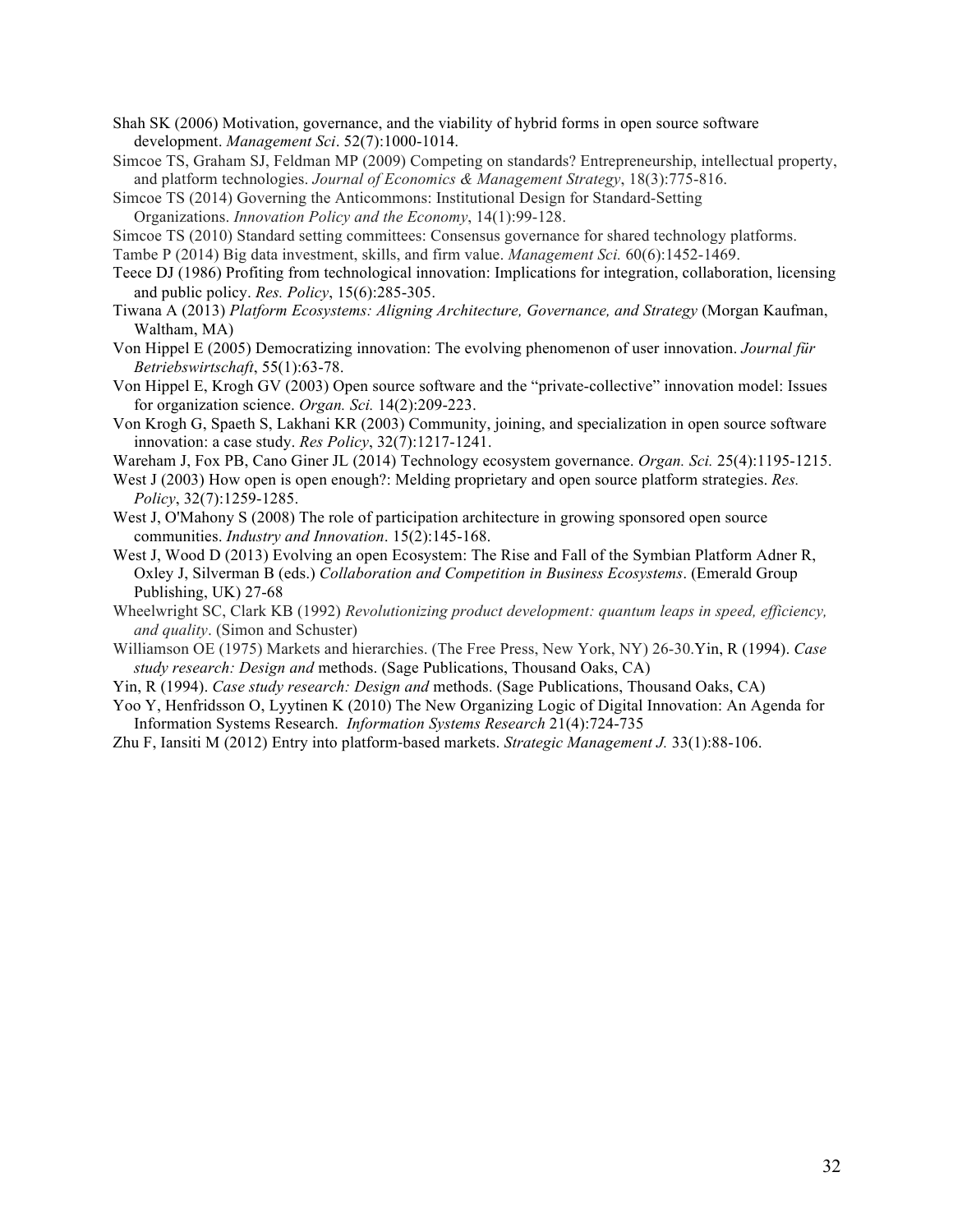- Shah SK (2006) Motivation, governance, and the viability of hybrid forms in open source software development. *Management Sci*. 52(7):1000-1014.
- Simcoe TS, Graham SJ, Feldman MP (2009) Competing on standards? Entrepreneurship, intellectual property, and platform technologies. *Journal of Economics & Management Strategy*, 18(3):775-816.

Simcoe TS (2014) Governing the Anticommons: Institutional Design for Standard-Setting

Organizations. *Innovation Policy and the Economy*, 14(1):99-128.

Simcoe TS (2010) Standard setting committees: Consensus governance for shared technology platforms.

Tambe P (2014) Big data investment, skills, and firm value. *Management Sci.* 60(6):1452-1469.

- Teece DJ (1986) Profiting from technological innovation: Implications for integration, collaboration, licensing and public policy. *Res. Policy*, 15(6):285-305.
- Tiwana A (2013) *Platform Ecosystems: Aligning Architecture, Governance, and Strategy* (Morgan Kaufman, Waltham, MA)
- Von Hippel E (2005) Democratizing innovation: The evolving phenomenon of user innovation. *Journal für Betriebswirtschaft*, 55(1):63-78.
- Von Hippel E, Krogh GV (2003) Open source software and the "private-collective" innovation model: Issues for organization science. *Organ. Sci.* 14(2):209-223.
- Von Krogh G, Spaeth S, Lakhani KR (2003) Community, joining, and specialization in open source software innovation: a case study. *Res Policy*, 32(7):1217-1241.

Wareham J, Fox PB, Cano Giner JL (2014) Technology ecosystem governance. *Organ. Sci.* 25(4):1195-1215.

- West J (2003) How open is open enough?: Melding proprietary and open source platform strategies. *Res. Policy*, 32(7):1259-1285.
- West J, O'Mahony S (2008) The role of participation architecture in growing sponsored open source communities. *Industry and Innovation*. 15(2):145-168.
- West J, Wood D (2013) Evolving an open Ecosystem: The Rise and Fall of the Symbian Platform Adner R, Oxley J, Silverman B (eds.) *Collaboration and Competition in Business Ecosystems*. (Emerald Group Publishing, UK) 27-68
- Wheelwright SC, Clark KB (1992) *Revolutionizing product development: quantum leaps in speed, efficiency, and quality*. (Simon and Schuster)
- Williamson OE (1975) Markets and hierarchies. (The Free Press, New York, NY) 26-30.Yin, R (1994). *Case study research: Design and* methods. (Sage Publications, Thousand Oaks, CA)
- Yin, R (1994). *Case study research: Design and* methods. (Sage Publications, Thousand Oaks, CA)
- Yoo Y, Henfridsson O, Lyytinen K (2010) The New Organizing Logic of Digital Innovation: An Agenda for Information Systems Research. *Information Systems Research* 21(4):724-735
- Zhu F, Iansiti M (2012) Entry into platform-based markets. *Strategic Management J*. 33(1):88-106.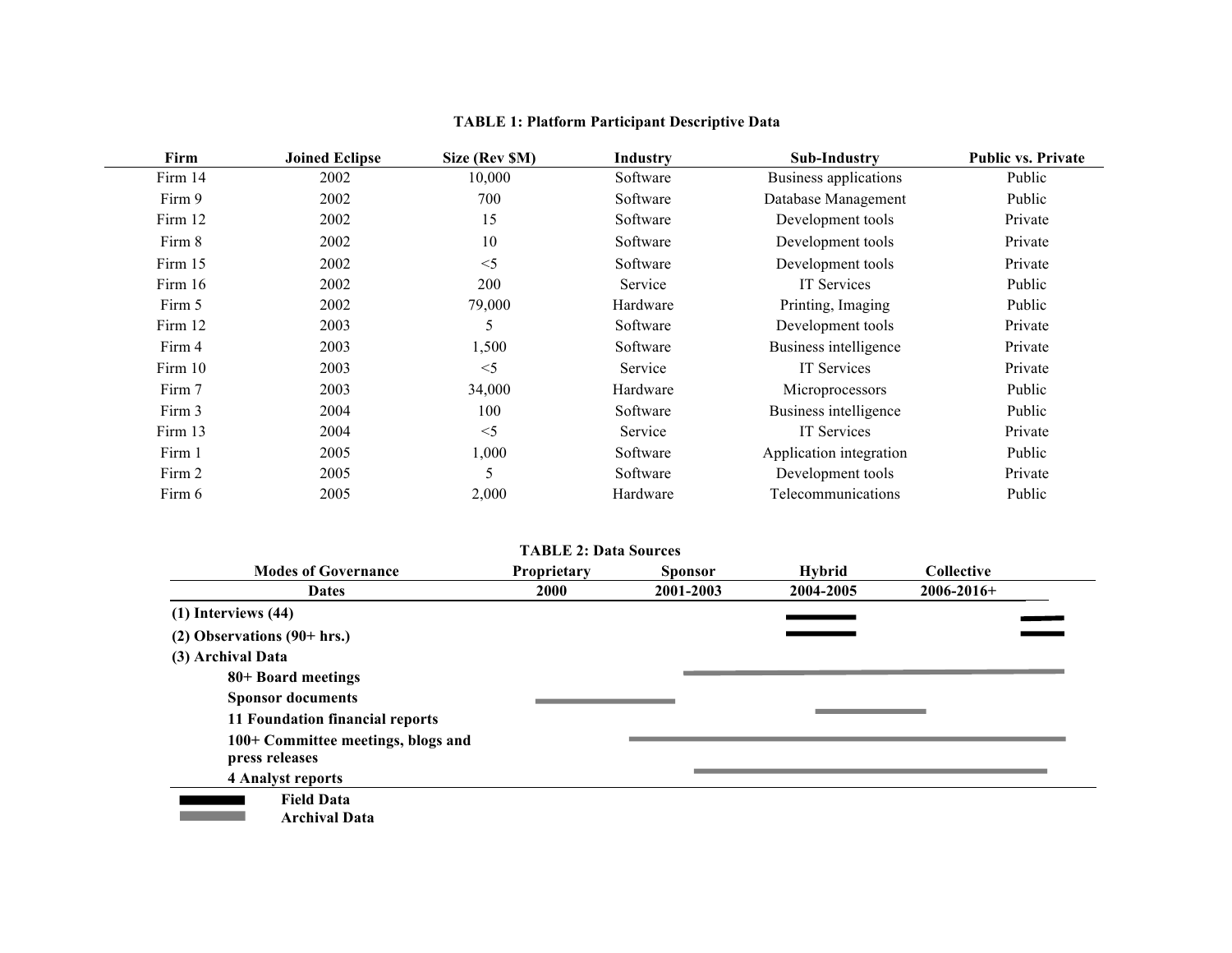| Firm    | <b>Joined Eclipse</b> | Size (Rev \$M) | Industry | <b>Sub-Industry</b>     | <b>Public vs. Private</b> |
|---------|-----------------------|----------------|----------|-------------------------|---------------------------|
| Firm 14 | 2002                  | 10,000         | Software | Business applications   | Public                    |
| Firm 9  | 2002                  | 700            | Software | Database Management     | Public                    |
| Firm 12 | 2002                  | 15             | Software | Development tools       | Private                   |
| Firm 8  | 2002                  | 10             | Software | Development tools       | Private                   |
| Firm 15 | 2002                  | $<$ 5          | Software | Development tools       | Private                   |
| Firm 16 | 2002                  | 200            | Service  | <b>IT Services</b>      | Public                    |
| Firm 5  | 2002                  | 79,000         | Hardware | Printing, Imaging       | Public                    |
| Firm 12 | 2003                  | 5              | Software | Development tools       | Private                   |
| Firm 4  | 2003                  | 1,500          | Software | Business intelligence   | Private                   |
| Firm 10 | 2003                  | $<$ 5          | Service  | <b>IT Services</b>      | Private                   |
| Firm 7  | 2003                  | 34,000         | Hardware | Microprocessors         | Public                    |
| Firm 3  | 2004                  | 100            | Software | Business intelligence   | Public                    |
| Firm 13 | 2004                  | $<$ 5          | Service  | <b>IT Services</b>      | Private                   |
| Firm 1  | 2005                  | 1,000          | Software | Application integration | Public                    |
| Firm 2  | 2005                  | 5              | Software | Development tools       | Private                   |
| Firm 6  | 2005                  | 2,000          | Hardware | Telecommunications      | Public                    |

# **TABLE 1: Platform Participant Descriptive Data**

# **TABLE 2: Data Sources**

| <b>Modes of Governance</b>                           | Proprietary | <b>Sponsor</b> | <b>Hybrid</b> | <b>Collective</b> |  |
|------------------------------------------------------|-------------|----------------|---------------|-------------------|--|
| <b>Dates</b>                                         | 2000        | 2001-2003      | 2004-2005     | $2006 - 2016 +$   |  |
| $(1)$ Interviews $(44)$                              |             |                |               |                   |  |
| $(2)$ Observations $(90+hrs.)$                       |             |                |               |                   |  |
| (3) Archival Data                                    |             |                |               |                   |  |
| 80+ Board meetings                                   |             |                |               |                   |  |
| <b>Sponsor documents</b>                             |             |                |               |                   |  |
| 11 Foundation financial reports                      |             |                |               |                   |  |
| 100+ Committee meetings, blogs and<br>press releases |             |                |               |                   |  |
| <b>4 Analyst reports</b>                             |             |                |               |                   |  |
| <b>Field Data</b>                                    |             |                |               |                   |  |
| <b>Archival Data</b>                                 |             |                |               |                   |  |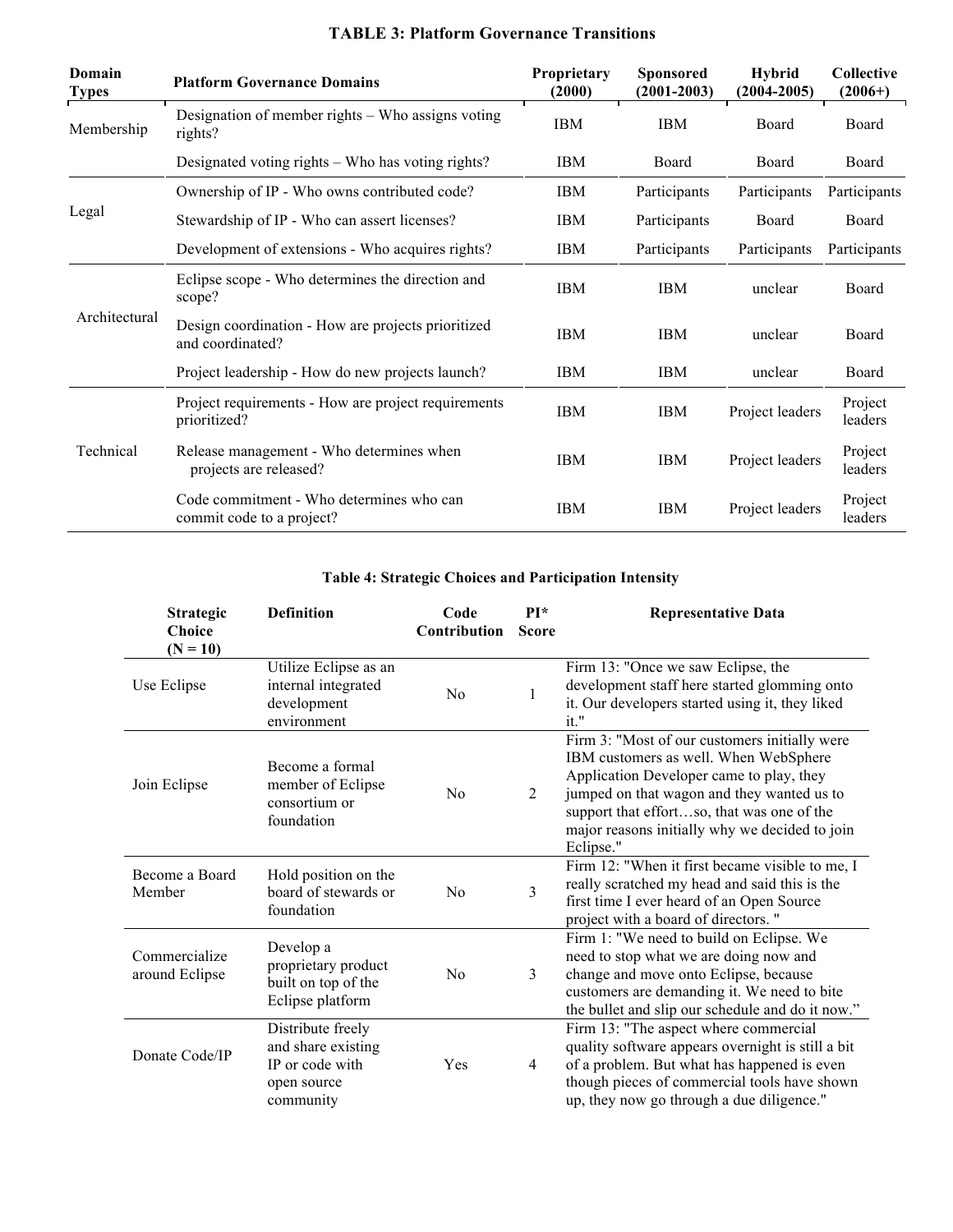| Domain<br><b>Types</b> | <b>Platform Governance Domains</b>                                     | Proprietary<br>(2000) | <b>Sponsored</b><br>$(2001 - 2003)$ | <b>Hybrid</b><br>$(2004 - 2005)$ | <b>Collective</b><br>$(2006+)$ |
|------------------------|------------------------------------------------------------------------|-----------------------|-------------------------------------|----------------------------------|--------------------------------|
| Membership             | Designation of member rights – Who assigns voting<br>rights?           | <b>IBM</b>            | <b>IBM</b>                          | Board                            | Board                          |
|                        | Designated voting rights – Who has voting rights?                      | <b>IBM</b>            | Board                               | Board                            | Board                          |
|                        | Ownership of IP - Who owns contributed code?                           | <b>IBM</b>            | Participants                        | Participants                     | Participants                   |
| Legal                  | Stewardship of IP - Who can assert licenses?                           | <b>IBM</b>            | Participants                        | Board                            | Board                          |
|                        | Development of extensions - Who acquires rights?                       | IBM                   | Participants                        | Participants                     | Participants                   |
| Architectural          | Eclipse scope - Who determines the direction and<br>scope?             | <b>IBM</b>            | <b>IBM</b>                          | unclear                          | Board                          |
|                        | Design coordination - How are projects prioritized<br>and coordinated? | <b>IBM</b>            | <b>IBM</b>                          | unclear                          | Board                          |
|                        | Project leadership - How do new projects launch?                       | <b>IBM</b>            | <b>IBM</b>                          | unclear                          | Board                          |
|                        | Project requirements - How are project requirements<br>prioritized?    | <b>IBM</b>            | <b>IBM</b>                          | Project leaders                  | Project<br>leaders             |
| Technical              | Release management - Who determines when<br>projects are released?     | <b>IBM</b>            | <b>IBM</b>                          | Project leaders                  | Project<br>leaders             |
|                        | Code commitment - Who determines who can<br>commit code to a project?  | <b>IBM</b>            | <b>IBM</b>                          | Project leaders                  | Project<br>leaders             |

# **TABLE 3: Platform Governance Transitions**

# **Table 4: Strategic Choices and Participation Intensity**

| <b>Strategic</b><br><b>Choice</b><br>$(N = 10)$ | <b>Definition</b>                                                                      | Code<br><b>Contribution</b> | $PI*$<br><b>Score</b> | <b>Representative Data</b>                                                                                                                                                                                                                                                                    |
|-------------------------------------------------|----------------------------------------------------------------------------------------|-----------------------------|-----------------------|-----------------------------------------------------------------------------------------------------------------------------------------------------------------------------------------------------------------------------------------------------------------------------------------------|
| Use Eclipse                                     | Utilize Eclipse as an<br>internal integrated<br>development<br>environment             | N <sub>o</sub>              |                       | Firm 13: "Once we saw Eclipse, the<br>development staff here started glomming onto<br>it. Our developers started using it, they liked<br>it."                                                                                                                                                 |
| Join Eclipse                                    | Become a formal<br>member of Eclipse<br>consortium or<br>foundation                    | No                          | 2                     | Firm 3: "Most of our customers initially were<br>IBM customers as well. When WebSphere<br>Application Developer came to play, they<br>jumped on that wagon and they wanted us to<br>support that effortso, that was one of the<br>major reasons initially why we decided to join<br>Eclipse." |
| Become a Board<br>Member                        | Hold position on the<br>board of stewards or<br>foundation                             | No                          | 3                     | Firm 12: "When it first became visible to me, I<br>really scratched my head and said this is the<br>first time I ever heard of an Open Source<br>project with a board of directors."                                                                                                          |
| Commercialize<br>around Eclipse                 | Develop a<br>proprietary product<br>built on top of the<br>Eclipse platform            | No                          | 3                     | Firm 1: "We need to build on Eclipse. We<br>need to stop what we are doing now and<br>change and move onto Eclipse, because<br>customers are demanding it. We need to bite<br>the bullet and slip our schedule and do it now."                                                                |
| Donate Code/IP                                  | Distribute freely<br>and share existing<br>IP or code with<br>open source<br>community | Yes                         | $\overline{4}$        | Firm 13: "The aspect where commercial<br>quality software appears overnight is still a bit<br>of a problem. But what has happened is even<br>though pieces of commercial tools have shown<br>up, they now go through a due diligence."                                                        |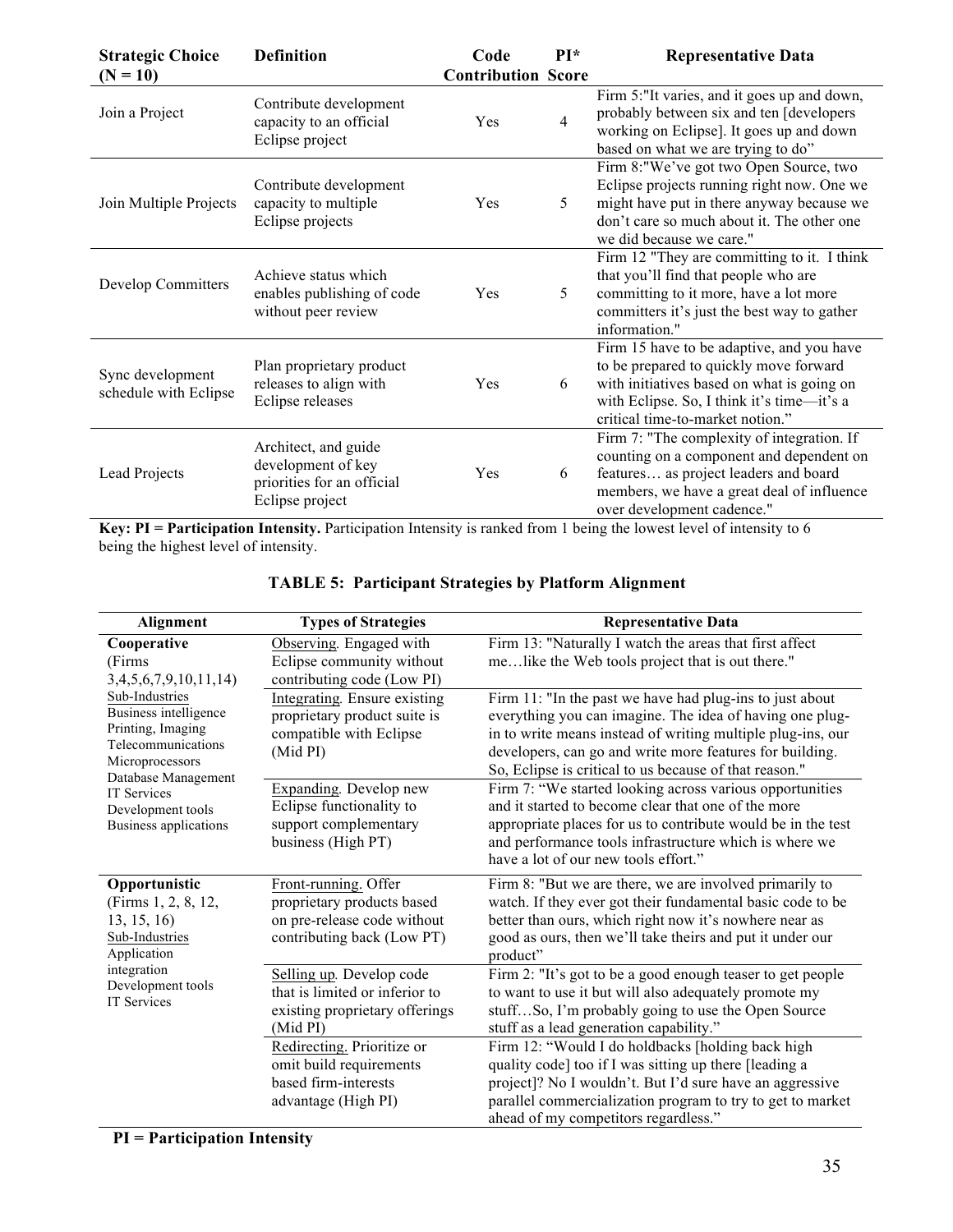| <b>Strategic Choice</b>                   | <b>Definition</b>                                                                           | Code                      | $PI*$          | <b>Representative Data</b>                                                                                                                                                                                          |
|-------------------------------------------|---------------------------------------------------------------------------------------------|---------------------------|----------------|---------------------------------------------------------------------------------------------------------------------------------------------------------------------------------------------------------------------|
| $(N = 10)$                                |                                                                                             | <b>Contribution Score</b> |                |                                                                                                                                                                                                                     |
| Join a Project                            | Contribute development<br>capacity to an official<br>Eclipse project                        | Yes                       | $\overline{4}$ | Firm 5:"It varies, and it goes up and down,<br>probably between six and ten [developers<br>working on Eclipse]. It goes up and down<br>based on what we are trying to do"                                           |
| Join Multiple Projects                    | Contribute development<br>capacity to multiple<br>Eclipse projects                          | Yes                       | 5              | Firm 8:"We've got two Open Source, two<br>Eclipse projects running right now. One we<br>might have put in there anyway because we<br>don't care so much about it. The other one<br>we did because we care."         |
| Develop Committers                        | Achieve status which<br>enables publishing of code<br>without peer review                   | Yes                       | 5              | Firm 12 "They are committing to it. I think<br>that you'll find that people who are<br>committing to it more, have a lot more<br>committers it's just the best way to gather<br>information."                       |
| Sync development<br>schedule with Eclipse | Plan proprietary product<br>releases to align with<br>Eclipse releases                      | Yes                       | 6              | Firm 15 have to be adaptive, and you have<br>to be prepared to quickly move forward<br>with initiatives based on what is going on<br>with Eclipse. So, I think it's time-it's a<br>critical time-to-market notion." |
| Lead Projects                             | Architect, and guide<br>development of key<br>priorities for an official<br>Eclipse project | Yes                       | 6              | Firm 7: "The complexity of integration. If<br>counting on a component and dependent on<br>features as project leaders and board<br>members, we have a great deal of influence<br>over development cadence."         |

**Key: PI = Participation Intensity.** Participation Intensity is ranked from 1 being the lowest level of intensity to 6 being the highest level of intensity.

| Alignment                                                                                             | <b>Types of Strategies</b>                                                                                      | <b>Representative Data</b>                                                                                                                                                                                                                                                                                |
|-------------------------------------------------------------------------------------------------------|-----------------------------------------------------------------------------------------------------------------|-----------------------------------------------------------------------------------------------------------------------------------------------------------------------------------------------------------------------------------------------------------------------------------------------------------|
| Cooperative<br>(Firms                                                                                 | Observing. Engaged with<br>Eclipse community without                                                            | Firm 13: "Naturally I watch the areas that first affect<br>melike the Web tools project that is out there."                                                                                                                                                                                               |
| 3,4,5,6,7,9,10,11,14                                                                                  | contributing code (Low PI)                                                                                      |                                                                                                                                                                                                                                                                                                           |
| Sub-Industries<br>Business intelligence<br>Printing, Imaging<br>Telecommunications<br>Microprocessors | Integrating. Ensure existing<br>proprietary product suite is<br>compatible with Eclipse<br>(Mid PI)             | Firm 11: "In the past we have had plug-ins to just about<br>everything you can imagine. The idea of having one plug-<br>in to write means instead of writing multiple plug-ins, our<br>developers, can go and write more features for building.<br>So, Eclipse is critical to us because of that reason." |
| Database Management<br><b>IT Services</b><br>Development tools<br>Business applications               | Expanding. Develop new<br>Eclipse functionality to<br>support complementary<br>business (High PT)               | Firm 7: "We started looking across various opportunities<br>and it started to become clear that one of the more<br>appropriate places for us to contribute would be in the test<br>and performance tools infrastructure which is where we<br>have a lot of our new tools effort."                         |
| Opportunistic<br>(Firms 1, 2, 8, 12,<br>13, 15, 16<br>Sub-Industries<br>Application                   | Front-running. Offer<br>proprietary products based<br>on pre-release code without<br>contributing back (Low PT) | Firm 8: "But we are there, we are involved primarily to<br>watch. If they ever got their fundamental basic code to be<br>better than ours, which right now it's nowhere near as<br>good as ours, then we'll take theirs and put it under our<br>product"                                                  |
| integration<br>Development tools<br><b>IT Services</b>                                                | Selling up. Develop code<br>that is limited or inferior to<br>existing proprietary offerings<br>(Mid PI)        | Firm 2: "It's got to be a good enough teaser to get people<br>to want to use it but will also adequately promote my<br>stuffSo, I'm probably going to use the Open Source<br>stuff as a lead generation capability."                                                                                      |
|                                                                                                       | Redirecting. Prioritize or<br>omit build requirements<br>based firm-interests<br>advantage (High PI)            | Firm 12: "Would I do holdbacks [holding back high<br>quality code] too if I was sitting up there [leading a<br>project]? No I wouldn't. But I'd sure have an aggressive<br>parallel commercialization program to try to get to market<br>ahead of my competitors regardless."                             |

# **TABLE 5: Participant Strategies by Platform Alignment**